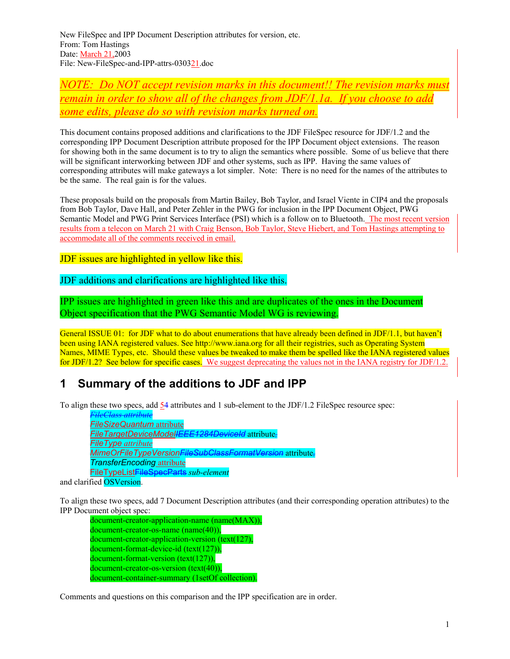New FileSpec and IPP Document Description attributes for version, etc. From: Tom Hastings Date: March 21,2003 File: New-FileSpec-and-IPP-attrs-030321.doc

*NOTE: Do NOT accept revision marks in this document!! The revision marks must remain in order to show all of the changes from JDF/1.1a. If you choose to add some edits, please do so with revision marks turned on.*

This document contains proposed additions and clarifications to the JDF FileSpec resource for JDF/1.2 and the corresponding IPP Document Description attribute proposed for the IPP Document object extensions. The reason for showing both in the same document is to try to align the semantics where possible. Some of us believe that there will be significant interworking between JDF and other systems, such as IPP. Having the same values of corresponding attributes will make gateways a lot simpler. Note: There is no need for the names of the attributes to be the same. The real gain is for the values.

These proposals build on the proposals from Martin Bailey, Bob Taylor, and Israel Viente in CIP4 and the proposals from Bob Taylor, Dave Hall, and Peter Zehler in the PWG for inclusion in the IPP Document Object, PWG Semantic Model and PWG Print Services Interface (PSI) which is a follow on to Bluetooth. The most recent version results from a telecon on March 21 with Craig Benson, Bob Taylor, Steve Hiebert, and Tom Hastings attempting to accommodate all of the comments received in email.

JDF issues are highlighted in yellow like this.

JDF additions and clarifications are highlighted like this.

IPP issues are highlighted in green like this and are duplicates of the ones in the Document Object specification that the PWG Semantic Model WG is reviewing.

General ISSUE 01: for JDF what to do about enumerations that have already been defined in JDF/1.1, but haven't been using IANA registered values. See http://www.iana.org for all their registries, such as Operating System Names, MIME Types, etc. Should these values be tweaked to make them be spelled like the IANA registered values for JDF/1.2? See below for specific cases. We suggest deprecating the values not in the IANA registry for JDF/1.2.

### **1 Summary of the additions to JDF and IPP**

To align these two specs, add 54 attributes and 1 sub-element to the JDF/1.2 FileSpec resource spec:

*FileClass attribute FileSizeQuantum* attribute *FileTargetDeviceModelIEEE1284DeviceId* attribute*, FileType attribute MimeOrFileTypeVersionFileSubClassFormatVersion* attribute*, TransferEncoding* attribute FileTypeListFileSpecParts *sub-element*

and clarified OSVersion.

To align these two specs, add 7 Document Description attributes (and their corresponding operation attributes) to the IPP Document object spec:

document-creator-application-name (name(MAX)), document-creator-os-name (name(40)), document-creator-application-version (text(127), document-format-device-id (text(127)), document-format-version (text(127)), document-creator-os-version (text(40)), document-container-summary (1setOf collection).

Comments and questions on this comparison and the IPP specification are in order.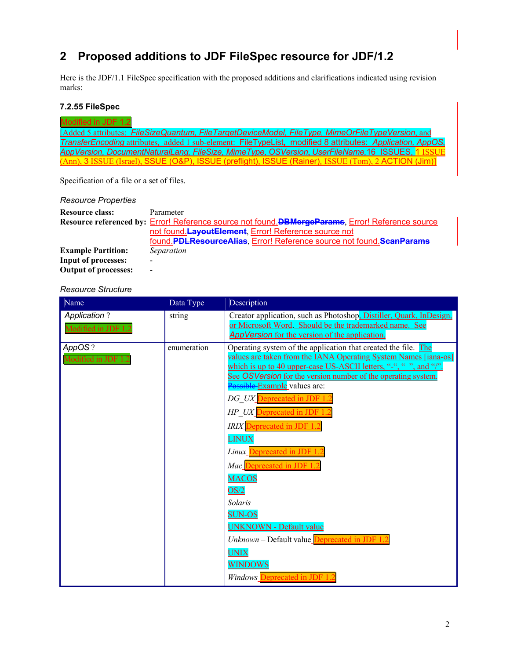# **2 Proposed additions to JDF FileSpec resource for JDF/1.2**

Here is the JDF/1.1 FileSpec specification with the proposed additions and clarifications indicated using revision marks:

### **7.2.55 FileSpec**

| Modified in JDF 1.2                                                                                               |  |  |  |  |
|-------------------------------------------------------------------------------------------------------------------|--|--|--|--|
| [Added 5 attributes: FileSizeQuantum, FileTargetDeviceModel, FileType, MimeOrFileTypeVersion, and                 |  |  |  |  |
| <b>TransferEncoding attributes, added 1 sub-element: FileTypeList, modified 8 attributes: Application, AppOS,</b> |  |  |  |  |
| AppVersion, DocumentNaturalLang, FileSize, MimeType, OSVersion, UserFileName,16 ISSUES, 1 ISSUE                   |  |  |  |  |
| (Ann), 3 ISSUE (Israel), SSUE (O&P), ISSUE (preflight), ISSUE (Rainer), ISSUE (Tom), 2 ACTION (Jim)]              |  |  |  |  |

Specification of a file or a set of files.

#### *Resource Properties*

| <b>Resource class:</b>      | Parameter                                                                                         |
|-----------------------------|---------------------------------------------------------------------------------------------------|
|                             | Resource referenced by: Error! Reference source not found. DBMergeParams, Error! Reference source |
|                             | not found. Layout Element, Error! Reference source not                                            |
|                             | found.PDLResourceAlias, Error! Reference source not found.ScanParams                              |
| <b>Example Partition:</b>   | Separation                                                                                        |
| <b>Input of processes:</b>  |                                                                                                   |
| <b>Output of processes:</b> | $\overline{\phantom{0}}$                                                                          |

#### *Resource Structure*

| Name                                       | Data Type   | Description                                                                                                                                                                                                                                                                                                                                                                                                                                                                                                                                                                                                                                                                                  |
|--------------------------------------------|-------------|----------------------------------------------------------------------------------------------------------------------------------------------------------------------------------------------------------------------------------------------------------------------------------------------------------------------------------------------------------------------------------------------------------------------------------------------------------------------------------------------------------------------------------------------------------------------------------------------------------------------------------------------------------------------------------------------|
| <b>Application?</b><br>Modified in JDF 1.2 | string      | Creator application, such as Photoshop, Distiller, Quark, InDesign,<br>or Microsoft Word. Should be the trademarked name. See<br>AppVersion for the version of the application.                                                                                                                                                                                                                                                                                                                                                                                                                                                                                                              |
| AppOS?<br>Modified in JDF 1                | enumeration | Operating system of the application that created the file. The<br>values are taken from the IANA Operating System Names [iana-os]<br>which is up to 40 upper-case US-ASCII letters, "-", " ", and "/".<br>See OSVersion for the version number of the operating system.<br>Possible Example values are:<br>DG UX Deprecated in JDF 1.2<br>HP UX Deprecated in JDF 1.2<br><b>IRIX</b> Deprecated in JDF 1.2<br><b>LINUX</b><br>Linux Deprecated in JDF 1.<br>Mac Deprecated in JDF 1.2<br><b>MACOS</b><br>OS/2<br>Solaris<br><b>SUN-OS</b><br><b>UNKNOWN - Default value</b><br>Unknown - Default value Deprecated in JDF 1.2<br><b>UNIX</b><br><b>WINDOWS</b><br>Windows Deprecated in JDF 1 |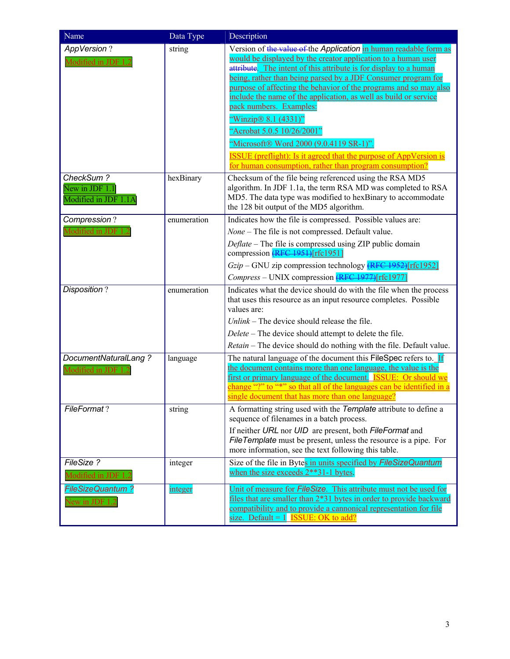| Name                                                             | Data Type   | Description                                                                                                                                                                                                                                                                                                                                                                                                                                                                                                                                                                                                                                                                          |
|------------------------------------------------------------------|-------------|--------------------------------------------------------------------------------------------------------------------------------------------------------------------------------------------------------------------------------------------------------------------------------------------------------------------------------------------------------------------------------------------------------------------------------------------------------------------------------------------------------------------------------------------------------------------------------------------------------------------------------------------------------------------------------------|
| <b>AppVersion?</b><br>Modified in JDF 1                          | string      | Version of the value of the Application in human readable form as<br>would be displayed by the creator application to a human user<br>attribute. The intent of this attribute is for display to a human<br>being, rather than being parsed by a JDF Consumer program for<br>purpose of affecting the behavior of the programs and so may also<br>include the name of the application, as well as build or service<br>pack numbers. Examples:<br>"Winzip® 8.1 (4331)"<br>"Acrobat 5.0.5 10/26/2001"<br>"Microsoft® Word 2000 (9.0.4119 SR-1)".<br><b>ISSUE</b> (preflight): Is it agreed that the purpose of AppVersion is<br>for human consumption, rather than program consumption? |
| CheckSum?<br>New in $\overline{JDF}$ 1.1<br>Modified in JDF 1.1A | hexBinary   | Checksum of the file being referenced using the RSA MD5<br>algorithm. In JDF 1.1a, the term RSA MD was completed to RSA<br>MD5. The data type was modified to hexBinary to accommodate<br>the 128 bit output of the MD5 algorithm.                                                                                                                                                                                                                                                                                                                                                                                                                                                   |
| Compression?<br><b>Modified in JDF</b>                           | enumeration | Indicates how the file is compressed. Possible values are:<br>None - The file is not compressed. Default value.<br>Deflate - The file is compressed using ZIP public domain<br>compression (RFC 1951)[rfc1951]<br>$Gzip$ – GNU zip compression technology $\sqrt{\text{RFC}+1952}$ rfc1952]<br>Compress - UNIX compression (RFC 1977)[rfc1977]                                                                                                                                                                                                                                                                                                                                       |
| Disposition?                                                     | enumeration | Indicates what the device should do with the file when the process<br>that uses this resource as an input resource completes. Possible<br>values are:<br>$Unlink$ – The device should release the file.<br>Delete – The device should attempt to delete the file.<br><i>Retain</i> – The device should do nothing with the file. Default value.                                                                                                                                                                                                                                                                                                                                      |
| DocumentNaturalLang?<br>Modified in JDF 1.2                      | language    | The natural language of the document this FileSpec refers to.<br>the document contains more than one language, the value is the<br>first or primary language of the document. ISSUE: Or should we<br>change "?" to "*" so that all of the languages can be identified in a<br>single document that has more than one language?                                                                                                                                                                                                                                                                                                                                                       |
| FileFormat?                                                      | string      | A formatting string used with the Template attribute to define a<br>sequence of filenames in a batch process.<br>If neither URL nor UID are present, both FileFormat and<br>FileTemplate must be present, unless the resource is a pipe. For<br>more information, see the text following this table.                                                                                                                                                                                                                                                                                                                                                                                 |
| FileSize?<br>Modified in JDF 1.2                                 | integer     | Size of the file in Bytes in units specified by FileSizeQuantum<br>when the size exceeds 2**31-1 bytes.                                                                                                                                                                                                                                                                                                                                                                                                                                                                                                                                                                              |
| <b>FileSizeQuantum?</b><br>New in JDF 1.2                        | integer     | Unit of measure for FileSize. This attribute must not be used for<br>files that are smaller than 2*31 bytes in order to provide backward<br>compatibility and to provide a cannonical representation for file<br>size. Default = $1$ <b>ISSUE:</b> OK to add?                                                                                                                                                                                                                                                                                                                                                                                                                        |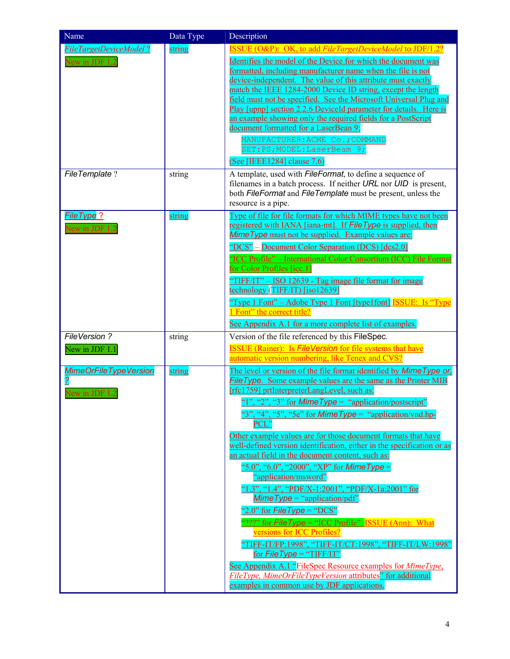| Name                                                             | Data Type        | Description                                                                                                                                                                                                                                                                                                                                                                                                                                                                                                                                                                                                                                                                                                                                                                                                                                                                                                                                                                                                                                                                                                   |
|------------------------------------------------------------------|------------------|---------------------------------------------------------------------------------------------------------------------------------------------------------------------------------------------------------------------------------------------------------------------------------------------------------------------------------------------------------------------------------------------------------------------------------------------------------------------------------------------------------------------------------------------------------------------------------------------------------------------------------------------------------------------------------------------------------------------------------------------------------------------------------------------------------------------------------------------------------------------------------------------------------------------------------------------------------------------------------------------------------------------------------------------------------------------------------------------------------------|
| FileTargetDeviceModel?<br>New in JDF 1.2<br><b>FileTemplate?</b> | string<br>string | <b>ISSUE (O&amp;P): OK, to add FileTargetDeviceModel to JDF/1.2?</b><br>Identifies the model of the Device for which the document was<br>formatted, including manufacturer name when the file is not<br>device-independent. The value of this attribute must exactly<br>match the IEEE 1284-2000 Device ID string, except the length<br>field must not be specified. See the Microsoft Universal Plug and<br>Play [upnp] section 2.2.6 DeviceId parameter for details. Here is<br>an example showing only the required fields for a PostScript<br>document formatted for a LaserBean 9:<br>MANUFACTURER: ACME Co.; COMMAND<br>SET: PS; MODEL: LaserBeam 9;<br>(See [IEEE1284] clause 7.6)<br>A template, used with <i>FileFormat</i> , to define a sequence of                                                                                                                                                                                                                                                                                                                                                |
|                                                                  |                  | filenames in a batch process. If neither URL nor UID is present,<br>both FileFormat and FileTemplate must be present, unless the<br>resource is a pipe.                                                                                                                                                                                                                                                                                                                                                                                                                                                                                                                                                                                                                                                                                                                                                                                                                                                                                                                                                       |
| FileType?<br>New in JDF 1.                                       | string           | Type of file for file formats for which MIME types have not been<br>registered with IANA [iana-mt]. If File Type is supplied, then<br><b>Mime Type</b> must not be supplied. Example values are:<br>"DCS" – Document Color Separation (DCS) [dcs2.0]<br>"ICC Profile" - International Color Consortium (ICC) File Format<br>for Color Profiles [icc.1]<br>"TIFF/IT" – ISO 12639 - Tag image file format for image<br>technology (TIFF/IT) [iso12639]<br><u> "Type 1 Font" – Adobe Type 1 Font [type1font]</u> <b>ISSUE</b> : Is "Type"<br>1 Font" the correct title?<br>See Appendix A.1 for a more complete list of examples.                                                                                                                                                                                                                                                                                                                                                                                                                                                                                |
| FileVersion?<br>New in JDF 1.1                                   | string           | Version of the file referenced by this FileSpec.<br><b>ISSUE</b> (Rainer): Is <i>FileVersion</i> for file systems that have<br>automatic version numbering, like Tenex and CVS?                                                                                                                                                                                                                                                                                                                                                                                                                                                                                                                                                                                                                                                                                                                                                                                                                                                                                                                               |
| <b>MimeOrFileTypeVersion</b><br>New in JDF 1.2                   | string           | The level or version of the file format identified by Mime Type or,<br><b>File Type.</b> Some example values are the same as the Printer MIB<br>[rfc1759] prtInterpreterLangLevel, such as:<br>"1", "2", "3" for Mime Type = "application/postscript"<br>"3", "4", "5", "5e" for <i>Mime Type</i> = "application/vnd.hp-<br>PCL"<br>Other example values are for those document formats that have<br>well-defined version identification, either in the specification or as<br>an actual field in the document content, such as:<br>"5.0", "6.0", "2000", "XP" for <i>Mime Type</i> =<br>"application/msword"<br>"1.3", "1.4", "PDF/X-1:2001", "PDF/X-1a:2001" for<br>$MimeType = "application/pdf"$<br>"2.0" for $FileType = "DCS"$<br>"???" for <i>FileType</i> = "ICC Profile" ISSUE (Ann): What<br>versions for ICC Profiles?<br>"TIFF-IT/FP:1998", "TIFF-IT/CT:1998", "TIFF-IT/LW:1998"<br>for $FileType = "TIFF/IT"$<br>See Appendix A.1 "FileSpec Resource examples for <i>MimeType</i> ,<br>FileType, MimeOrFileTypeVersion attributes" for additional<br>examples in common use by JDF applications. |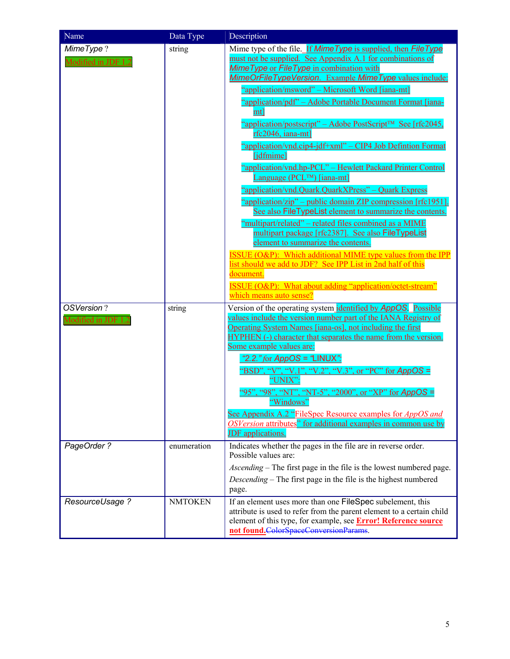| Name                              | Data Type      | Description                                                                                                                                                                                                                                                                                                                                                                                                                                                                                                                                                                                                                                                                                                                                                                                                                                                                                                                                                                                                                                                                                                                                                                                                    |
|-----------------------------------|----------------|----------------------------------------------------------------------------------------------------------------------------------------------------------------------------------------------------------------------------------------------------------------------------------------------------------------------------------------------------------------------------------------------------------------------------------------------------------------------------------------------------------------------------------------------------------------------------------------------------------------------------------------------------------------------------------------------------------------------------------------------------------------------------------------------------------------------------------------------------------------------------------------------------------------------------------------------------------------------------------------------------------------------------------------------------------------------------------------------------------------------------------------------------------------------------------------------------------------|
| MimeType?<br>Modified in JDF 1.2  | string         | Mime type of the file. If Mime Type is supplied, then File Type<br>must not be supplied. See Appendix A.1 for combinations of<br>Mime Type or File Type in combination with<br>MimeOrFileTypeVersion. Example MimeType values include:<br>"application/msword" – Microsoft Word [iana-mt]<br>"application/pdf" - Adobe Portable Document Format [iana-<br>mt]<br>"application/postscript" – Adobe PostScript <sup>™</sup> See [rfc2045,<br>rfc2046, iana-mtl<br>"application/vnd.cip4-jdf+xml" – CIP4 Job Defintion Format<br>[jdfmime]<br>"application/vnd.hp-PCL" - Hewlett Packard Printer Control<br>Language (PCL™) [iana-mt]<br>"application/vnd.Quark.QuarkXPress" - Quark Express<br>"application/zip" – public domain ZIP compression [rfc1951].<br>See also FileTypeList element to summarize the contents.<br>"multipart/related" - related files combined as a MIME<br>multipart package [rfc2387]. See also FileTypeList<br>element to summarize the contents.<br>ISSUE (O&P): Which additional MIME type values from the IPP<br>list should we add to JDF? See IPP List in 2nd half of this<br>document.<br>ISSUE (O&P): What about adding "application/octet-stream"<br>which means auto sense? |
| OSVersion?<br>Modified in JDF 1.2 | string         | Version of the operating system <i>identified by AppOS</i> . Possible<br>values include the version number part of the IANA Registry of<br>Operating System Names [iana-os], not including the first<br>HYPHEN (-) character that separates the name from the version.<br>Some example values are:<br>"2.2." for $AppOS = "LINUX"$<br>"BSD", "V", "V.1", "V.2", "V.3", or "PC" for AppOS =<br>"UNIX":<br>"95", "98", "NT", "NT-5", "2000", or "XP" for AppOS =<br>"Windows"<br>See Appendix A.2 "FileSpec Resource examples for AppOS and<br>OSVersion attributes" for additional examples in common use by<br><b>JDF</b> applications.                                                                                                                                                                                                                                                                                                                                                                                                                                                                                                                                                                        |
| PageOrder ?                       | enumeration    | Indicates whether the pages in the file are in reverse order.<br>Possible values are:<br><i>Ascending</i> – The first page in the file is the lowest numbered page.<br><i>Descending</i> – The first page in the file is the highest numbered<br>page.                                                                                                                                                                                                                                                                                                                                                                                                                                                                                                                                                                                                                                                                                                                                                                                                                                                                                                                                                         |
| ResourceUsage ?                   | <b>NMTOKEN</b> | If an element uses more than one FileSpec subelement, this<br>attribute is used to refer from the parent element to a certain child<br>element of this type, for example, see <b>Error! Reference source</b><br>not found.ColorSpaceConversionParams.                                                                                                                                                                                                                                                                                                                                                                                                                                                                                                                                                                                                                                                                                                                                                                                                                                                                                                                                                          |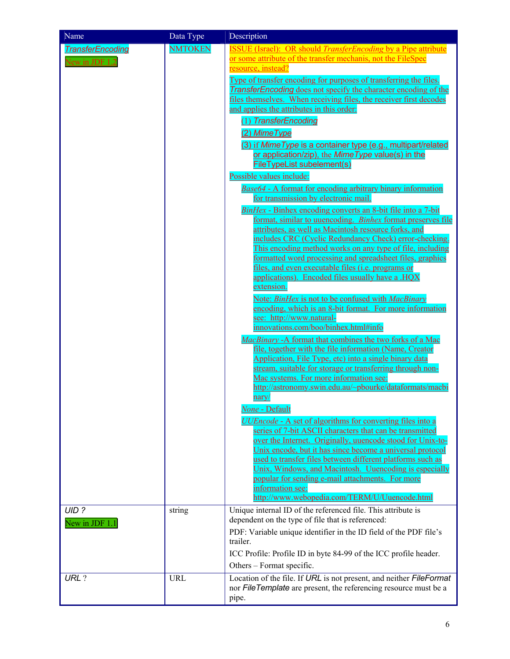| Name                                      | Data Type      | Description                                                                                                                                                                                                                                                                                                                                                                                                                                                                                                                                                                                                                                                                                                                                                                                                                                                                                                                                                                                                                                                                                                                                                                                                                                                       |
|-------------------------------------------|----------------|-------------------------------------------------------------------------------------------------------------------------------------------------------------------------------------------------------------------------------------------------------------------------------------------------------------------------------------------------------------------------------------------------------------------------------------------------------------------------------------------------------------------------------------------------------------------------------------------------------------------------------------------------------------------------------------------------------------------------------------------------------------------------------------------------------------------------------------------------------------------------------------------------------------------------------------------------------------------------------------------------------------------------------------------------------------------------------------------------------------------------------------------------------------------------------------------------------------------------------------------------------------------|
| <b>TransferEncoding</b><br>New in JDF 1.2 | <b>NMTOKEN</b> | <b>ISSUE</b> (Israel): OR should <i>TransferEncoding</i> by a Pipe attribute<br>or some attribute of the transfer mechanis, not the FileSpec<br>resource, instead?<br>Type of transfer encoding for purposes of transferring the files.<br><b>TransferEncoding</b> does not specify the character encoding of the<br>files themselves. When receiving files, the receiver first decodes<br>and applies the attributes in this order:<br>(1) TransferEncoding<br>(2) Mime Type<br>(3) if Mime Type is a container type (e.g., multipart/related<br>or application/zip), the Mime Type value(s) in the<br>FileTypeList subelement(s)<br>Possible values include:<br><b>Base64 - A format for encoding arbitrary binary information</b><br>for transmission by electronic mail.<br>BinHex - Binhex encoding converts an 8-bit file into a 7-bit<br>format, similar to uuencoding. Binhex format preserves file<br>attributes, as well as Macintosh resource forks, and<br>includes CRC (Cyclic Redundancy Check) error-checking.<br>This encoding method works on any type of file, including<br>formatted word processing and spreadsheet files, graphics<br>files, and even executable files (i.e. programs or<br>applications). Encoded files usually have a .HOX |
|                                           |                | Note: BinHex is not to be confused with MacBinary<br>encoding, which is an 8-bit format. For more information<br>see: http://www.natural-<br>innovations.com/boo/binhex.html#info<br>MacBinary - A format that combines the two forks of a Mac<br>file, together with the file information (Name, Creator<br>Application, File Type, etc) into a single binary data<br>stream, suitable for storage or transferring through non-<br>Mac systems. For more information see:<br>http://astronomy.swin.edu.au/~pbourke/dataformats/macbi<br>nary/<br>None - Default<br><b>UUEncode - A set of algorithms for converting files into a</b><br>series of 7-bit ASCII characters that can be transmitted<br>over the Internet. Originally, uuencode stood for Unix-to-<br>Unix encode, but it has since become a universal protocol<br>used to transfer files between different platforms such as<br>Unix, Windows, and Macintosh. Uuencoding is especially<br>popular for sending e-mail attachments. For more<br>information see:                                                                                                                                                                                                                                      |
| UID?<br>New in JDF 1.1                    | string         | http://www.webopedia.com/TERM/U/Uuencode.html<br>Unique internal ID of the referenced file. This attribute is<br>dependent on the type of file that is referenced:                                                                                                                                                                                                                                                                                                                                                                                                                                                                                                                                                                                                                                                                                                                                                                                                                                                                                                                                                                                                                                                                                                |
|                                           |                | PDF: Variable unique identifier in the ID field of the PDF file's<br>trailer.<br>ICC Profile: Profile ID in byte 84-99 of the ICC profile header.<br>Others – Format specific.                                                                                                                                                                                                                                                                                                                                                                                                                                                                                                                                                                                                                                                                                                                                                                                                                                                                                                                                                                                                                                                                                    |
| URL?                                      | <b>URL</b>     | Location of the file. If URL is not present, and neither FileFormat<br>nor FileTemplate are present, the referencing resource must be a<br>pipe.                                                                                                                                                                                                                                                                                                                                                                                                                                                                                                                                                                                                                                                                                                                                                                                                                                                                                                                                                                                                                                                                                                                  |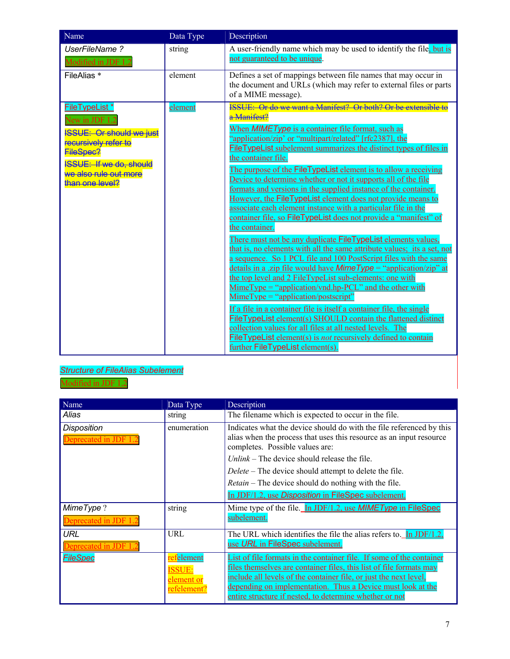| Name                                                                                                                                                                                             | Data Type | Description                                                                                                                                                                                                                                                                                                                                                                                                                                                                                                                                                                                                                                                                                                                                                                                                                                                                                                                                                                                                                                                                                                                                                                                                                                                                                                                                                                                                                                                                                                                               |
|--------------------------------------------------------------------------------------------------------------------------------------------------------------------------------------------------|-----------|-------------------------------------------------------------------------------------------------------------------------------------------------------------------------------------------------------------------------------------------------------------------------------------------------------------------------------------------------------------------------------------------------------------------------------------------------------------------------------------------------------------------------------------------------------------------------------------------------------------------------------------------------------------------------------------------------------------------------------------------------------------------------------------------------------------------------------------------------------------------------------------------------------------------------------------------------------------------------------------------------------------------------------------------------------------------------------------------------------------------------------------------------------------------------------------------------------------------------------------------------------------------------------------------------------------------------------------------------------------------------------------------------------------------------------------------------------------------------------------------------------------------------------------------|
| UserFileName?<br>Modified in JDF 1.2                                                                                                                                                             | string    | A user-friendly name which may be used to identify the file, but is<br>not guaranteed to be unique.                                                                                                                                                                                                                                                                                                                                                                                                                                                                                                                                                                                                                                                                                                                                                                                                                                                                                                                                                                                                                                                                                                                                                                                                                                                                                                                                                                                                                                       |
| FileAlias *                                                                                                                                                                                      | element   | Defines a set of mappings between file names that may occur in<br>the document and URLs (which may refer to external files or parts<br>of a MIME message).                                                                                                                                                                                                                                                                                                                                                                                                                                                                                                                                                                                                                                                                                                                                                                                                                                                                                                                                                                                                                                                                                                                                                                                                                                                                                                                                                                                |
| <b>FileTypeList *</b><br>New in JDF<br><b>ISSUE: Or should we just</b><br>recursively refer to<br><b>FileSpec?</b><br><b>ISSUE: If we do, should</b><br>we also rule out more<br>than one level? | element   | <b>ISSUE:</b> Or do we want a Manifest? Or both? Or be extensible to<br>a Manifest?<br>When <b>MIMEType</b> is a container file format, such as<br>"application/zip' or "multipart/related" [rfc2387], the<br><b>FileTypeList</b> subelement summarizes the distinct types of files in<br>the container file.<br>The purpose of the FileTypeList element is to allow a receiving<br>Device to determine whether or not it supports all of the file<br>formats and versions in the supplied instance of the container.<br>However, the FileTypeList element does not provide means to<br>associate each element instance with a particular file in the<br>container file, so FileTypeList does not provide a "manifest" of<br>the container.<br>There must not be any duplicate FileTypeList elements values,<br>that is, no elements with all the same attribute values; its a set, not<br>a sequence. So 1 PCL file and 100 PostScript files with the same<br>details in a .zip file would have <i>Mime Type</i> = "application/zip" at<br>the top level and 2 FileTypeList sub-elements: one with<br>$MimeType = "application/vnd.hp- PCL"$ and the other with<br>$MimeType = "application/postscript"$<br>If a file in a container file is itself a container file, the single<br><b>FileTypeList element(s) SHOULD contain the flattened distinct</b><br>collection values for all files at all nested levels. The<br><b>FileTypeList</b> element(s) is <i>not</i> recursively defined to contain<br>further FileTypeList element(s). |

# *Structure of FileAlias Subelement*



| Name                                    | Data Type                                              | Description                                                                                                                                                                                                                                                                                                                                       |
|-----------------------------------------|--------------------------------------------------------|---------------------------------------------------------------------------------------------------------------------------------------------------------------------------------------------------------------------------------------------------------------------------------------------------------------------------------------------------|
| Alias                                   | string                                                 | The filename which is expected to occur in the file.                                                                                                                                                                                                                                                                                              |
| <b>Disposition</b><br>Deprecated in JDF | enumeration                                            | Indicates what the device should do with the file referenced by this<br>alias when the process that uses this resource as an input resource<br>completes. Possible values are:                                                                                                                                                                    |
|                                         |                                                        | $Unlink$ – The device should release the file.                                                                                                                                                                                                                                                                                                    |
|                                         |                                                        | Delete – The device should attempt to delete the file.                                                                                                                                                                                                                                                                                            |
|                                         |                                                        | <i>Retain</i> – The device should do nothing with the file.                                                                                                                                                                                                                                                                                       |
|                                         |                                                        | In JDF/1.2, use <i>Disposition</i> in FileSpec subelement.                                                                                                                                                                                                                                                                                        |
| MimeType?<br>Deprecated in JDF 1.2      | string                                                 | Mime type of the file. In JDF/1.2, use <b>MIMEType</b> in FileSpec<br>subelement.                                                                                                                                                                                                                                                                 |
| <b>URL</b><br>Deprecated in JDF         | URL                                                    | The URL which identifies the file the alias refers to. In JDF/1.2,<br>use URL in FileSpec subelement.                                                                                                                                                                                                                                             |
| <b>FileSpec</b>                         | felement<br><b>ISSUE:</b><br>element or<br>refelement? | List of file formats in the container file. If some of the container<br>files themselves are container files, this list of file formats may<br><u>include all levels of the container file, or just the next level.</u><br>depending on implementation. Thus a Device must look at the<br>entire structure if nested, to determine whether or not |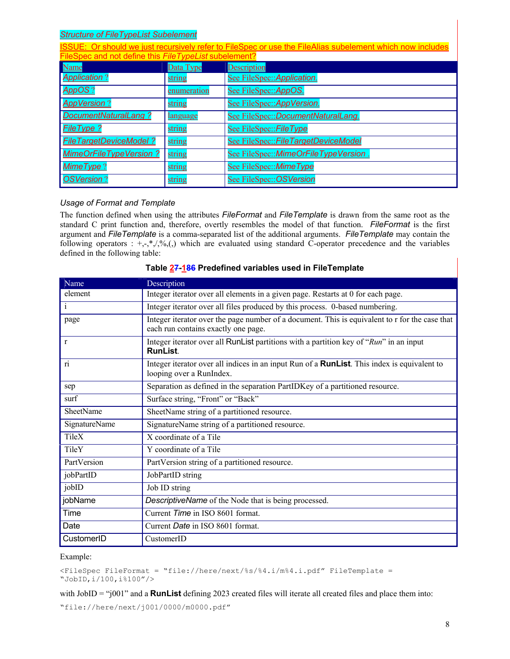### *Structure of FileTypeList Subelement*

| ISSUE: Or should we just recursively refer to FileSpec or use the FileAlias subelement which now includes |             |                                      |  |  |
|-----------------------------------------------------------------------------------------------------------|-------------|--------------------------------------|--|--|
| FileSpec and not define this FileTypeList subelement?                                                     |             |                                      |  |  |
| Name                                                                                                      | Data Type   | <b>Description</b>                   |  |  |
| <b>Application?</b>                                                                                       | string      | See FileSpec:: Application.          |  |  |
| <b>AppOS?</b>                                                                                             | enumeration | See FileSpec:: AppOS.                |  |  |
| <b>AppVersion?</b>                                                                                        | string      | See FileSpec:: AppVersion.           |  |  |
| DocumentNaturalLang?                                                                                      | language    | See FileSpec::DocumentNaturalLang.   |  |  |
| <b>FileType?</b>                                                                                          | string      | See FileSpec:: FileType              |  |  |
| <b>FileTargetDeviceModel?</b>                                                                             | string      | See FileSpec:: FileTargetDeviceModel |  |  |
| <b>MimeOrFileTypeVersion?</b>                                                                             | string      | See FileSpec::MimeOrFileTypeVersion. |  |  |
| <b>MimeType?</b>                                                                                          | string      | See FileSpec::MimeType               |  |  |
| <b>OSVersion?</b>                                                                                         | string      | See FileSpec:: OSVersion             |  |  |

### *Usage of Format and Template*

The function defined when using the attributes *FileFormat* and *FileTemplate* is drawn from the same root as the standard C print function and, therefore, overtly resembles the model of that function. *FileFormat* is the first argument and *FileTemplate* is a comma-separated list of the additional arguments. *FileTemplate* may contain the following operators :  $+,-,*,/0,$ <sub>(a)</sub> which are evaluated using standard C-operator precedence and the variables defined in the following table:

| Name                 | Description                                                                                                                           |
|----------------------|---------------------------------------------------------------------------------------------------------------------------------------|
| element              | Integer iterator over all elements in a given page. Restarts at 0 for each page.                                                      |
| $\mathbf{i}$         | Integer iterator over all files produced by this process. 0-based numbering.                                                          |
| page                 | Integer iterator over the page number of a document. This is equivalent to r for the case that<br>each run contains exactly one page. |
| $\mathbf{r}$         | Integer iterator over all RunList partitions with a partition key of "Run" in an input<br><b>RunList</b>                              |
|                      | Integer iterator over all indices in an input Run of a <b>RunList</b> . This index is equivalent to<br>looping over a RunIndex.       |
| sep                  | Separation as defined in the separation PartIDKey of a partitioned resource.                                                          |
| surf                 | Surface string, "Front" or "Back"                                                                                                     |
| <b>SheetName</b>     | SheetName string of a partitioned resource.                                                                                           |
| <b>SignatureName</b> | SignatureName string of a partitioned resource.                                                                                       |
| TileX                | X coordinate of a Tile                                                                                                                |
| TileY                | Y coordinate of a Tile                                                                                                                |
| PartVersion          | PartVersion string of a partitioned resource.                                                                                         |
| jobPartID            | JobPartID string                                                                                                                      |
| jobID                | Job ID string                                                                                                                         |
| jobName              | DescriptiveName of the Node that is being processed.                                                                                  |
| Time                 | Current Time in ISO 8601 format.                                                                                                      |
| Date                 | Current Date in ISO 8601 format.                                                                                                      |
| CustomerID           | CustomerID                                                                                                                            |

### **Table 27-186 Predefined variables used in FileTemplate**

#### Example:

```
<FileSpec FileFormat = "file://here/next/%s/%4.i/m%4.i.pdf" FileTemplate = 
"JobID,i/100,i%100"/>
```
with JobID = "j001" and a **RunList** defining 2023 created files will iterate all created files and place them into:

"file://here/next/j001/0000/m0000.pdf"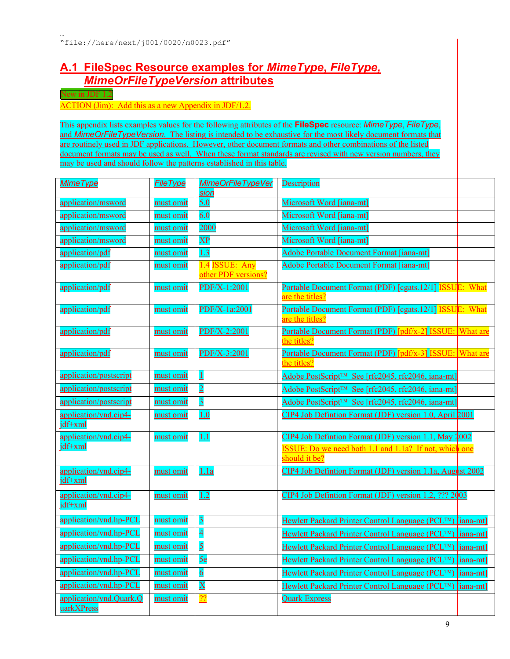# <span id="page-8-0"></span>**A.1 FileSpec Resource examples for** *MimeType***,** *FileType, MimeOrFileTypeVersion* **attributes**

<span id="page-8-1"></span>New in JDF 1.2

ACTION (Jim): Add this as a new Appendix in JDF/1.2.

This appendix lists examples values for the following attributes of the **FileSpec** resource: *MimeType*, *FileType*, and *MimeOrFileTypeVersion*. The listing is intended to be exhaustive for the most likely document formats that are routinely used in JDF applications. However, other document formats and other combinations of the listed document formats may be used as well. When these format standards are revised with new version numbers, they may be used and should follow the patterns established in this table.

| <b>MimeType</b>                       | <b>FileType</b>  | MimeOrFileTypeVer<br>sion             | <b>Description</b>                                                                                                     |           |
|---------------------------------------|------------------|---------------------------------------|------------------------------------------------------------------------------------------------------------------------|-----------|
| <u>application/msword</u>             | must omit        | 5.0                                   | Microsoft Word [iana-mt]                                                                                               |           |
| application/msword                    | must omit        | 6.0                                   | Microsoft Word [iana-mt]                                                                                               |           |
| application/msword                    | must omit        | 2000                                  | Microsoft Word [iana-mt]                                                                                               |           |
| application/msword                    | must omit        | $\overline{\mathbf{XP}}$              | Microsoft Word [iana-mt]                                                                                               |           |
| application/pdf                       | must omit        | 1.3                                   | <b>Adobe Portable Document Format [iana-mt]</b>                                                                        |           |
| application/pdf                       | must omit        | 1.4 ISSUE: Any<br>other PDF versions? | <b>Adobe Portable Document Format [iana-mt]</b>                                                                        |           |
| application/pdf                       | must omit        | $PDF/X-1:2001$                        | Portable Document Format (PDF) [cgats.12/1] ISSUE: What<br>are the titles?                                             |           |
| application/pdf                       | must omit        | PDF/X-1a:2001                         | Portable Document Format (PDF) [cgats.12/1] ISSUE: What<br>are the titles?                                             |           |
| application/pdf                       | must omit        | $PDF/X-2:2001$                        | Portable Document Format (PDF) [pdf/x-2] ISSUE: What are<br>the titles?                                                |           |
| application/pdf                       | must omit        | PDF/X-3:2001                          | <b>Portable Document Format (PDF)</b> [pdf/x-3] ISSUE: What are<br>the titles?                                         |           |
| application/postscript                | must omit        | $\perp$                               | Adobe PostScript <sup>™</sup> See [rfc2045, rfc2046, iana-mt]                                                          |           |
| application/postscript                | must omit        | $\overline{2}$                        | Adobe PostScript <sup>™</sup> See [rfc2045, rfc2046, iana-mt]                                                          |           |
| application/postscript                | must omit        | $\overline{3}$                        | Adobe PostScript <sup>™</sup> See [rfc2045, rfc2046, iana-mt]                                                          |           |
| application/vnd.cip4-<br>jdf+xml      | must omit        | 1.0                                   | CIP4 Job Defintion Format (JDF) version 1.0, April 2001                                                                |           |
| application/vnd.cip4-<br>jdf+xml      | must omit        | <u>1.1</u>                            | CIP4 Job Defintion Format (JDF) version 1.1, May 2002<br><b>ISSUE:</b> Do we need both 1.1 and 1.1a? If not, which one |           |
|                                       |                  |                                       | should it be?                                                                                                          |           |
| application/vnd.cip4-<br>jdf+xml      | must omit        | 1.1a                                  | CIP4 Job Defintion Format (JDF) version 1.1a, August 2002                                                              |           |
| application/vnd.cip4-<br>jdf+xml      | must omit        | 1.2                                   | CIP4 Job Defintion Format (JDF) version 1.2, ??? 2003                                                                  |           |
| application/vnd.hp-PCL                | must omit        | $\overline{3}$                        | Hewlett Packard Printer Control Language (PCL™) [iana-mt]                                                              |           |
| application/vnd.hp-PCL                | must omit        | $\overline{4}$                        | Hewlett Packard Printer Control Language (PCL™) [iana-mt]                                                              |           |
| application/vnd.hp-PCL                | must omit        | 5                                     | Hewlett Packard Printer Control Language (PCL™) [iana-mt]                                                              |           |
| application/vnd.hp-PCL                | must omit        | 5e                                    | Hewlett Packard Printer Control Language (PCL™) [iana-mt]                                                              |           |
| application/vnd.hp-PCL                | must omit        | $6\overline{6}$                       | Hewlett Packard Printer Control Language (PCL™)                                                                        | [iana-mt] |
| application/vnd.hp-PCL                | <u>must omit</u> | $\overline{\textbf{X}}$               | Hewlett Packard Printer Control Language (PCL™)                                                                        | [iana-mt] |
| application/vnd.Quark.Q<br>uarkXPress | must omit        | $\overline{22}$                       | <b>Quark Express</b>                                                                                                   |           |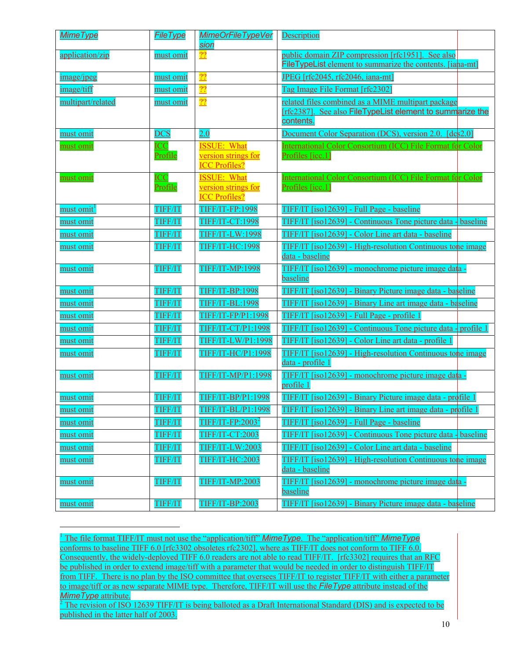<span id="page-9-2"></span>

| MimeType                     | <b>FileType</b>              | <b>MimeOrFileTypeVer</b><br>sion                                  | <b>Description</b>                                                                                                           |
|------------------------------|------------------------------|-------------------------------------------------------------------|------------------------------------------------------------------------------------------------------------------------------|
| application/zip              | <u>must omit</u>             | $\overline{22}$                                                   | public domain ZIP compression [rfc1951]. See also<br><b>FileTypeList</b> element to summarize the contents. [iaha-mt]        |
| <u>image/jpeg</u>            | must omit                    | $\overline{22}$                                                   | JPEG [rfc2045, rfc2046, iana-mt]                                                                                             |
| image/tiff                   | must omit                    | $\overline{22}$                                                   | Tag Image File Format [rfc2302]                                                                                              |
| multipart/related            | <u>must omit</u>             | $\overline{22}$                                                   | related files combined as a MIME multipart package<br>[rfc2387]. See also FileTypeList element to summarize the<br>contents. |
| must omit                    | <b>DCS</b>                   | 2.0                                                               | Document Color Separation (DCS), version 2.0. [dcs 2.0]                                                                      |
| must omit                    | <b>ICC</b><br><b>Profile</b> | <b>ISSUE: What</b><br>version strings for<br><b>ICC Profiles?</b> | International Color Consortium (ICC) File Format for Color<br>Profiles [icc.1]                                               |
| <u>must omit</u>             | <b>ICC</b><br>Profile        | <b>ISSUE: What</b><br>version strings for<br><b>ICC Profiles?</b> | International Color Consortium (ICC) File Format for Color<br>Profiles [icc.1]                                               |
| <u>must omit<sup>1</sup></u> | <b>TIFF/IT</b>               | <b>TIFF/IT-FP:1998</b>                                            | TIFF/IT [iso12639] - Full Page - baseline                                                                                    |
| must omit                    | <b>TIFF/IT</b>               | <b>TIFF/IT-CT:1998</b>                                            | TIFF/IT [iso12639] - Continuous Tone picture data - baseline                                                                 |
| <u>must omit</u>             | <b>TIFF/IT</b>               | <b>TIFF/IT-LW:1998</b>                                            | TIFF/IT [iso12639] - Color Line art data - baseline                                                                          |
| must omit                    | <b>TIFF/IT</b>               | <b>TIFF/IT-HC:1998</b>                                            | <b>TIFF/IT [iso12639] - High-resolution Continuous tone image</b><br>data - baseline                                         |
| <u>must omit</u>             | <b>TIFF/IT</b>               | <b>TIFF/IT-MP:1998</b>                                            | <u> TIFF/IT [iso12639] - monochrome picture image data -</u><br>baseline                                                     |
| must omit                    | <b>TIFF/IT</b>               | <b>TIFF/IT-BP:1998</b>                                            | <u> TIFF/IT [iso12639] - Binary Picture image data - baseline</u>                                                            |
| must omit                    | <b>TIFF/IT</b>               | <b>TIFF/IT-BL:1998</b>                                            | TIFF/IT [iso12639] - Binary Line art image data - baseline                                                                   |
| must omit                    | <b>TIFF/IT</b>               | <b>TIFF/IT-FP/P1:1998</b>                                         | TIFF/IT [iso12639] - Full Page - profile 1                                                                                   |
| must omit                    | <b>TIFF/IT</b>               | <b>TIFF/IT-CT/P1:1998</b>                                         | <u> TIFF/IT [iso12639] - Continuous Tone picture data - profile 1</u>                                                        |
| must omit                    | <b>TIFF/IT</b>               | <b>TIFF/IT-LW/P1:1998</b>                                         | TIFF/IT [iso12639] - Color Line art data - profile 1                                                                         |
| <u>must omit</u>             | <b>TIFF/IT</b>               | <b>TIFF/IT-HC/P1:1998</b>                                         | <u> TIFF/IT [iso12639] - High-resolution Continuous tone image</u><br>data - profile 1                                       |
| must omit                    | <b>TIFF/IT</b>               | <b>TIFF/IT-MP/P1:1998</b>                                         | <u> TIFF/IT [iso12639] - monochrome picture image data -</u><br>profile 1                                                    |
| must omit                    | <b>TIFF/IT</b>               | TIFF/IT-BP/P1:1998                                                | <u> TIFF/IT [iso12639] - Binary Picture image data - profile 1</u>                                                           |
| <u>must omit</u>             | <b>TIFF/IT</b>               | <b>TIFF/IT-BL/P1:1998</b>                                         | <u> TIFF/IT [iso12639] - Binary Line art image data - profile 1</u>                                                          |
| <u>must omit</u>             | <b>TIFF/IT</b>               | $T$ IFF/IT-FP:2003 <sup>2</sup>                                   | TIFF/IT [iso12639] - Full Page - baseline                                                                                    |
| <u>must omit</u>             | <b>TIFF/IT</b>               | <b>TIFF/IT-CT:2003</b>                                            | <u> TIFF/IT [iso12639] - Continuous Tone picture data - baseline</u>                                                         |
| <u>must omit</u>             | <b>TIFF/IT</b>               | <b>TIFF/IT-LW:2003</b>                                            | TIFF/IT [iso12639] - Color Line art data - baseline                                                                          |
| <u>must omit</u>             | <b>TIFF/IT</b>               | <b>TIFF/IT-HC:2003</b>                                            | <u> TIFF/IT [iso12639] - High-resolution Continuous tone image</u><br>data - baseline                                        |
| must omit                    | <b>TIFF/IT</b>               | <b>TIFF/IT-MP:2003</b>                                            | TIFF/IT [iso12639] - monochrome picture image data -<br>baseline                                                             |
| must omit                    | <b>TIFF/IT</b>               | <b>TIFF/IT-BP:2003</b>                                            | <b>TIFF/IT [iso12639] - Binary Picture image data - baseline</b>                                                             |

<span id="page-9-0"></span><sup>1</sup> The file format TIFF/IT must not use the "application/tiff" *MimeType*. The "application/tiff" *MimeType* conforms to baseline TIFF 6.0 [rfc3302 obsoletes rfc2302], where as TIFF/IT does not conform to TIFF 6.0. Consequently, the widely-deployed TIFF 6.0 readers are not able to read TIFF/IT. [rfc3302] requires that an RFC be published in order to extend image/tiff with a parameter that would be needed in order to distinguish TIFF/IT from TIFF. There is no plan by the ISO committee that oversees TIFF/IT to register TIFF/IT with either a parameter to image/tiff or as new separate MIME type. Therefore, TIFF/IT will use the *FileType* attribute instead of the *MimeType* attribute.

 $\overline{a}$ 

<span id="page-9-1"></span> $\frac{2}{3}$  The revision of ISO 12639 TIFF/IT is being balloted as a Draft International Standard (DIS) and is expected to be published in the latter half of 2003.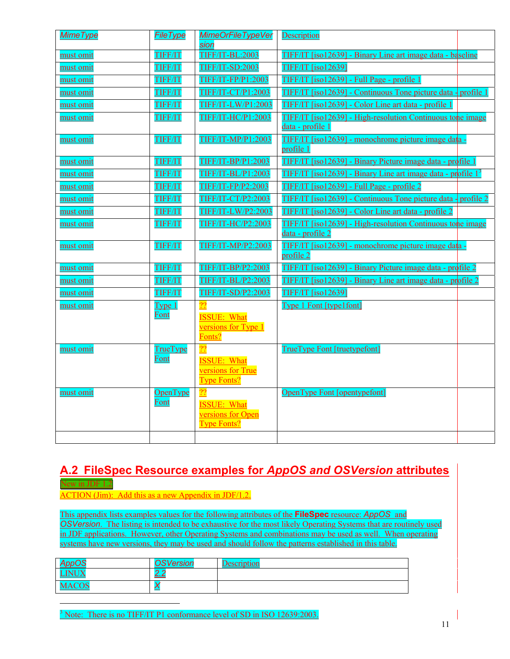<span id="page-10-2"></span>

| <b>MimeType</b> | <b>FileType</b>   | <b>MimeOrFileTypeVer</b><br>sion                              | <b>Description</b>                                                                    |
|-----------------|-------------------|---------------------------------------------------------------|---------------------------------------------------------------------------------------|
| must omit       | <b>TIFF/IT</b>    | <b>TIFF/IT-BL:2003</b>                                        | TIFF/IT [iso12639] - Binary Line art image data - baseline                            |
| must omit       | <b>TIFF/IT</b>    | <b>TIFF/IT-SD:2003</b>                                        | <b>TIFF/IT [iso12639]</b>                                                             |
| must omit       | <b>TIFF/IT</b>    | TIFF/IT-FP/P1:2003                                            | TIFF/IT [iso12639] - Full Page - profile 1                                            |
| must omit       | <b>TIFF/IT</b>    | <b>TIFF/IT-CT/P1:2003</b>                                     | TIFF/IT [iso12639] - Continuous Tone picture data - profile 1                         |
| must omit       | <b>TIFF/IT</b>    | TIFF/IT-LW/P1:2003                                            | TIFF/IT [iso12639] - Color Line art data - profile 1                                  |
| must omit       | <b>TIFF/IT</b>    | TIFF/IT-HC/P1:2003                                            | TIFF/IT [iso12639] - High-resolution Continuous tone image                            |
|                 |                   |                                                               | data - profile 1                                                                      |
| must omit       | <b>TIFF/IT</b>    | TIFF/IT-MP/P1:2003                                            | <u> TIFF/IT [iso12639] - monochrome picture image data -</u><br>profile 1             |
| must omit       | <b>TIFF/IT</b>    | TIFF/IT-BP/P1:2003                                            | TIFF/IT [iso12639] - Binary Picture image data - profile 1                            |
| must omit       | <b>TIFF/IT</b>    | <b>TIFF/IT-BL/P1:2003</b>                                     | $TIF/IT$ [iso12639] - Binary Line art image data - profile $13$                       |
| must omit       | <b>TIFF/IT</b>    | TIFF/IT-FP/P2:2003                                            | TIFF/IT [iso12639] - Full Page - profile 2                                            |
| must omit       | <b>TIFF/IT</b>    | <b>TIFF/IT-CT/P2:2003</b>                                     | TIFF/IT [iso12639] - Continuous Tone picture data - profile 2                         |
| must omit       | <b>TIFF/IT</b>    | <b>TIFF/IT-LW/P2:2003</b>                                     | TIFF/IT [iso12639] - Color Line art data - profile 2                                  |
| must omit       | <b>TIFF/IT</b>    | <b>TIFF/IT-HC/P2:2003</b>                                     | <b>TIFF/IT [iso12639] - High-resolution Continuous tone image</b><br>data - profile 2 |
| must omit       | <b>TIFF/IT</b>    | <b>TIFF/IT-MP/P2:2003</b>                                     | <u> TIFF/IT [iso12639] - monochrome picture image data -</u><br>profile 2             |
| must omit       | <b>TIFF/IT</b>    | <b>TIFF/IT-BP/P2:2003</b>                                     | TIFF/IT [iso12639] - Binary Picture image data - profile 2                            |
| must omit       | <b>TIFF/IT</b>    | <b>TIFF/IT-BL/P2:2003</b>                                     | TIFF/IT [iso12639] - Binary Line art image data - profile 2                           |
| must omit       | <b>TIFF/IT</b>    | TIFF/IT-SD/P2:2003                                            | <b>TIFF/IT [iso12639]</b>                                                             |
| must omit       | Type <sub>1</sub> |                                                               | Type 1 Font [type1font]                                                               |
|                 | Font              | <b>ISSUE: What</b><br>versions for Type 1<br>Fonts?           |                                                                                       |
| must omit       | TrueType          | $\overline{22}$                                               | TrueType Font [truetypefont]                                                          |
|                 | Font              | <b>ISSUE: What</b><br>versions for True<br><b>Type Fonts?</b> |                                                                                       |
| must omit       | OpenType          | 22                                                            | OpenType Font [opentypefont]                                                          |
|                 | Font              | <b>ISSUE: What</b><br>versions for Open<br><b>Type Fonts?</b> |                                                                                       |
|                 |                   |                                                               |                                                                                       |

### <span id="page-10-0"></span>**A.2 FileSpec Resource examples for** *AppOS and OSVersion* **attributes** New in JDF 1.2

ACTION (Jim): Add this as a new Appendix in JDF/1.2.

<span id="page-10-1"></span> $\overline{a}$ 

This appendix lists examples values for the following attributes of the **FileSpec** resource: *AppOS* and *OSVersion*. The listing is intended to be exhaustive for the most likely Operating Systems that are routinely used in JDF applications. However, other Operating Systems and combinations may be used as well. When operating systems have new versions, they may be used and should follow the patterns established in this table.

| AnnOS                                         | <b>OSVersion</b>         | <b>Description</b> |
|-----------------------------------------------|--------------------------|--------------------|
| <b>STETT</b><br>LIN <sub>U</sub> <sub>2</sub> | $\overline{\phantom{a}}$ |                    |
| $\Delta COS$<br>$\sim$<br>$\cdots$            |                          |                    |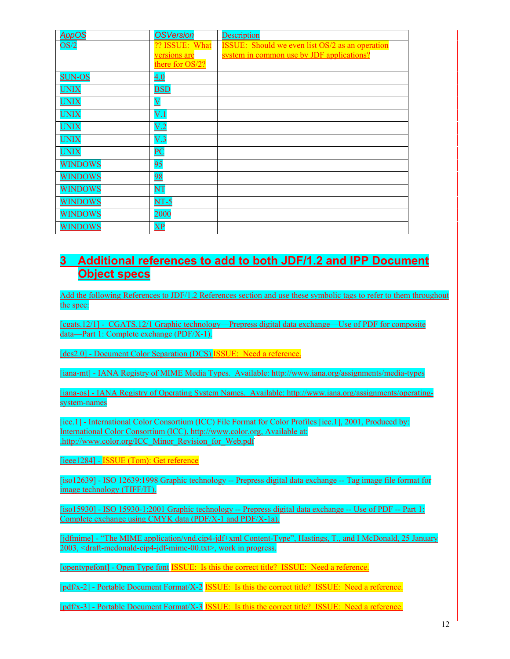| <b>AppOS</b>   | <b>OSVersion</b>          | <b>Description</b>                                     |
|----------------|---------------------------|--------------------------------------------------------|
| OS/2           | ?? ISSUE: What            | <b>ISSUE:</b> Should we even list OS/2 as an operation |
|                | versions are              | system in common use by JDF applications?              |
|                | there for OS/2?           |                                                        |
| <b>SUN-OS</b>  | 4.0                       |                                                        |
| <b>UNIX</b>    | <b>BSD</b>                |                                                        |
| <b>UNIX</b>    | $\boldsymbol{\mathrm{V}}$ |                                                        |
| <b>UNIX</b>    | V <sub>1</sub>            |                                                        |
| <b>UNIX</b>    | V.2                       |                                                        |
| <b>UNIX</b>    | V.3                       |                                                        |
| <b>UNIX</b>    | $\overline{\mathbf{PC}}$  |                                                        |
| <b>WINDOWS</b> | 95                        |                                                        |
| <b>WINDOWS</b> | 98                        |                                                        |
| <b>WINDOWS</b> | $\overline{\text{NT}}$    |                                                        |
| <b>WINDOWS</b> | $NT-5$                    |                                                        |
| <b>WINDOWS</b> | 2000                      |                                                        |
| <b>WINDOWS</b> | $\overline{\mathbf{XP}}$  |                                                        |

# **3 Additional references to add to both JDF/1.2 and IPP Document Object specs**

Add the following References to JDF/1.2 References section and use these symbolic tags to refer to them throughout the spec:

[cgats.12/1] - CGATS.12/1 Graphic technology—Prepress digital data exchange—Use of PDF for composite data—Part 1: Complete exchange (PDF/X-1).

[dcs2.0] - Document Color Separation (DCS) ISSUE: Need a reference.

[iana-mt] - IANA Registry of MIME Media Types. Available: http://www.iana.org/assignments/media-types

[iana-os] - IANA Registry of Operating System Names. Available: http://www.iana.org/assignments/operatingsystem-names

[icc.1] - International Color Consortium (ICC) File Format for Color Profiles [icc.1], 2001, Produced by: International Color Consortium (ICC), http://www.color.org, Available at: [.http://www.color.org/ICC\\_Minor\\_Revision\\_for\\_Web.pdf](http://www.color.org/ICC_Minor_Revision_for_Web.pdf) 

[ieee1284] - **ISSUE** (Tom): Get reference

[iso12639] - ISO 12639:1998 Graphic technology -- Prepress digital data exchange -- Tag image file format for image technology (TIFF/IT).

[iso15930] - ISO 15930-1:2001 Graphic technology -- Prepress digital data exchange -- Use of PDF -- Part 1: Complete exchange using CMYK data (PDF/X-1 and PDF/X-1a).

[jdfmime] - "The MIME application/vnd.cip4-jdf+xml Content-Type", Hastings, T., and I McDonald, 25 January 2003, <draft-mcdonald-cip4-jdf-mime-00.txt>, work in progress.

[opentypefont] - Open Type font **ISSUE**: Is this the correct title? ISSUE: Need a reference.

[pdf/x-2] - Portable Document Format/X-2 ISSUE: Is this the correct title? ISSUE: Need a reference.

[pdf/x-3] - Portable Document Format/X-3 ISSUE: Is this the correct title? ISSUE: Need a reference.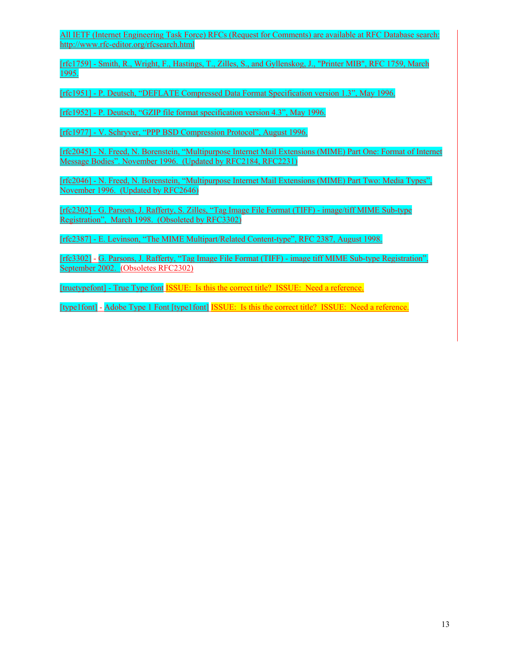All IETF (Internet Engineering Task Force) RFCs (Request for Comments) are available at RFC Database search: http://www.rfc-editor.org/rfcsearch.html

[rfc1759] - Smith, R., Wright, F., Hastings, T., Zilles, S., and Gyllenskog, J., "Printer MIB", RFC 1759, March 1995.

[rfc1951] - P. Deutsch, "DEFLATE Compressed Data Format Specification version 1.3", May 1996.

[rfc1952] - P. Deutsch, "GZIP file format specification version 4.3", May 1996.

[rfc1977] - V. Schryver, "PPP BSD Compression Protocol", August 1996.

[rfc2045] - N. Freed, N. Borenstein, "Multipurpose Internet Mail Extensions (MIME) Part One: Format of Internet Message Bodies". November 1996. (Updated by RFC2184, RFC2231)

[rfc2046] - N. Freed, N. Borenstein, "Multipurpose Internet Mail Extensions (MIME) Part Two: Media Types", November 1996. (Updated by RFC2646)

[rfc2302] - G. Parsons, J. Rafferty, S. Zilles, "Tag Image File Format (TIFF) - image/tiff MIME Sub-type Registration", March 1998. (Obsoleted by RFC3302)

[rfc2387] - E. Levinson, "The MIME Multipart/Related Content-type", RFC 2387, August 1998.

[rfc3302] - G. Parsons, J. Rafferty, "Tag Image File Format (TIFF) - image tiff MIME Sub-type Registration", September 2002. (Obsoletes RFC2302)

[truetypefont] - True Type font ISSUE: Is this the correct title? ISSUE: Need a reference.

[type1font] - Adobe Type 1 Font [type1font] ISSUE: Is this the correct title? ISSUE: Need a reference.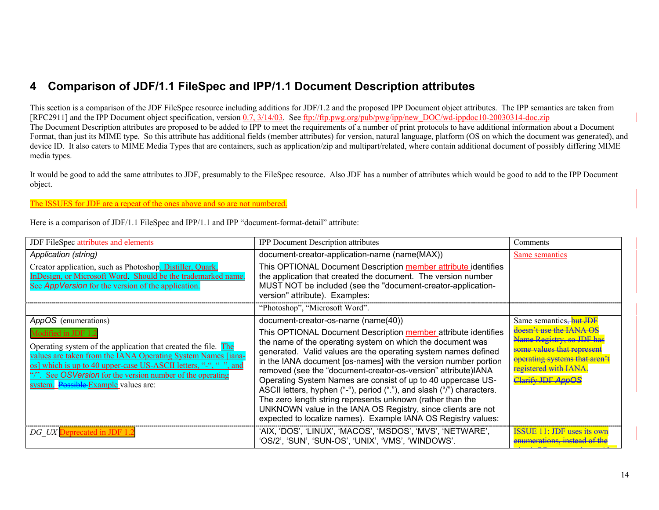# **4 Comparison of JDF/1.1 FileSpec and IPP/1.1 Document Description attributes**

This section is a comparison of the JDF FileSpec resource including additions for JDF/1.2 and the proposed IPP Document object attributes. The IPP semantics are taken from [RFC2911] and the IPP Document object specification, version 0.7, 3/14/03. See ftp://ftp.pwg.org/pub/pwg/ipp/new\_DOC/wd-ippdoc10-20030314-doc.zip The Document Description attributes are proposed to be added to IPP to meet the requirements of a number of print protocols to have additional information about a Document Format, than just its MIME type. So this attribute has additional fields (member attributes) for version, natural language, platform (OS on which the document was generated), and device ID. It also caters to MIME Media Types that are containers, such as application/zip and multipart/related, where contain additional document of possibly differing MIME media types.

It would be good to add the same attributes to JDF, presumably to the FileSpec resource. Also JDF has a number of attributes which would be good to add to the IPP Document object.

#### The ISSUES for JDF are a repeat of the ones above and so are not numbered.

Here is a comparison of JDF/1.1 FileSpec and IPP/1.1 and IPP "document-format-detail" attribute:

| JDF FileSpec attributes and elements                                                                                                                                                                                                                                                                                           | <b>IPP Document Description attributes</b>                                                                                                                                                                                                                                                                                                                                                                                                                                                                                                                                                                                                                                  | Comments                                                                                                                                                                             |
|--------------------------------------------------------------------------------------------------------------------------------------------------------------------------------------------------------------------------------------------------------------------------------------------------------------------------------|-----------------------------------------------------------------------------------------------------------------------------------------------------------------------------------------------------------------------------------------------------------------------------------------------------------------------------------------------------------------------------------------------------------------------------------------------------------------------------------------------------------------------------------------------------------------------------------------------------------------------------------------------------------------------------|--------------------------------------------------------------------------------------------------------------------------------------------------------------------------------------|
| Application (string)                                                                                                                                                                                                                                                                                                           | document-creator-application-name (name(MAX))                                                                                                                                                                                                                                                                                                                                                                                                                                                                                                                                                                                                                               | Same semantics                                                                                                                                                                       |
| Creator application, such as Photoshop, Distiller, Quark,<br>InDesign, or Microsoft Word. Should be the trademarked name.<br>See AppVersion for the version of the application.                                                                                                                                                | This OPTIONAL Document Description member attribute identifies<br>the application that created the document. The version number<br>MUST NOT be included (see the "document-creator-application-<br>version" attribute). Examples:<br>"Photoshop", "Microsoft Word".                                                                                                                                                                                                                                                                                                                                                                                                         |                                                                                                                                                                                      |
| AppOS (enumerations)                                                                                                                                                                                                                                                                                                           | document-creator-os-name (name(40))                                                                                                                                                                                                                                                                                                                                                                                                                                                                                                                                                                                                                                         | Same semantics. <b>but JDF</b>                                                                                                                                                       |
| Modified in JDF 1<br>Operating system of the application that created the file. The<br>values are taken from the IANA Operating System Names [iana-<br>os] which is up to 40 upper-case US-ASCII letters, "-", ", ", and<br>"/". See OSVersion for the version number of the operating<br>system. Possible Example values are: | This OPTIONAL Document Description member attribute identifies<br>the name of the operating system on which the document was<br>generated. Valid values are the operating system names defined<br>in the IANA document [os-names] with the version number portion<br>removed (see the "document-creator-os-version" attribute)IANA<br>Operating System Names are consist of up to 40 uppercase US-<br>ASCII letters, hyphen ("-"), period ("."), and slash ("/") characters.<br>The zero length string represents unknown (rather than the<br>UNKNOWN value in the IANA OS Registry, since clients are not<br>expected to localize names). Example IANA OS Registry values: | doesn't use the IANA OS<br><b>Tame Registry, so JDF h</b><br>some values that represen<br><del>operating systems that aren</del><br>registered with IANA<br><b>Clarify JDF AppOS</b> |
| DG UX Deprecated in JDF 1.2                                                                                                                                                                                                                                                                                                    | 'AIX, 'DOS', 'LINUX', 'MACOS', 'MSDOS', 'MVS', 'NETWARE',<br>'OS/2', 'SUN', 'SUN-OS', 'UNIX', 'VMS', 'WINDOWS'.                                                                                                                                                                                                                                                                                                                                                                                                                                                                                                                                                             | <b>SSUE 11: JDF uses its own</b>                                                                                                                                                     |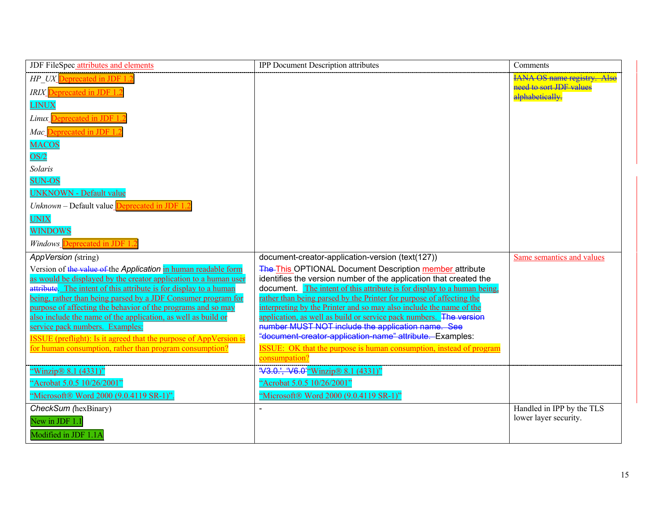| JDF FileSpec attributes and elements                                                                                               | IPP Document Description attributes                                                                                          | Comments                                                                         |
|------------------------------------------------------------------------------------------------------------------------------------|------------------------------------------------------------------------------------------------------------------------------|----------------------------------------------------------------------------------|
| HP UX Deprecated in JDF 1.2<br>IRIX Deprecated in JDF 1.2<br><b>LINUX</b>                                                          |                                                                                                                              | <b>IANA OS name registry. Also</b><br>need to sort JDF values<br>alphabetically. |
| Deprecated in JDF 1.<br>Linux                                                                                                      |                                                                                                                              |                                                                                  |
| Deprecated in JDF 1<br>Mac                                                                                                         |                                                                                                                              |                                                                                  |
| <b>MACOS</b><br>OS/2                                                                                                               |                                                                                                                              |                                                                                  |
| Solaris                                                                                                                            |                                                                                                                              |                                                                                  |
| <b>SUN-OS</b>                                                                                                                      |                                                                                                                              |                                                                                  |
| <b>UNKNOWN - Default value</b>                                                                                                     |                                                                                                                              |                                                                                  |
| Unknown – Default value <b>Deprecated in JDF 1.</b>                                                                                |                                                                                                                              |                                                                                  |
| <b>UNIX</b>                                                                                                                        |                                                                                                                              |                                                                                  |
| <b>WINDOWS</b>                                                                                                                     |                                                                                                                              |                                                                                  |
| Windows Deprecated in JDF 1.                                                                                                       |                                                                                                                              |                                                                                  |
| AppVersion (string)                                                                                                                | document-creator-application-version (text(127))                                                                             | Same semantics and values                                                        |
| Version of the value of the Application in human readable form<br>as would be displayed by the creator application to a human user | The This OPTIONAL Document Description member attribute<br>identifies the version number of the application that created the |                                                                                  |
| attribute. The intent of this attribute is for display to a human                                                                  | document. The intent of this attribute is for display to a human being,                                                      |                                                                                  |
| being, rather than being parsed by a JDF Consumer program for                                                                      | rather than being parsed by the Printer for purpose of affecting the                                                         |                                                                                  |
| purpose of affecting the behavior of the programs and so may<br>also include the name of the application, as well as build or      | interpreting by the Printer and so may also include the name of the                                                          |                                                                                  |
| service pack numbers. Examples:                                                                                                    | application, as well as build or service pack numbers. The version<br>number MUST NOT include the application name. See      |                                                                                  |
| <b>ISSUE</b> (preflight): Is it agreed that the purpose of AppVersion is                                                           | "document-creator-application-name" attribute. Examples:                                                                     |                                                                                  |
| for human consumption, rather than program consumption?                                                                            | <b>ISSUE:</b> OK that the purpose is human consumption, instead of program<br>consumpation?                                  |                                                                                  |
| "Winzip $\&$ 8.1 (4331)"                                                                                                           | 'V3.0.', 'V6.0'"Winzip® 8.1 (4331)"                                                                                          |                                                                                  |
| "Acrobat 5.0.5 10/26/2001"                                                                                                         | "Acrobat 5.0.5 10/26/2001"                                                                                                   |                                                                                  |
| "Microsoft® Word 2000 (9.0.4119 SR-1)".                                                                                            | "Microsoft® Word 2000 (9.0.4119 SR-1)"                                                                                       |                                                                                  |
| CheckSum (hexBinary)                                                                                                               |                                                                                                                              | Handled in IPP by the TLS                                                        |
| New in JDF 1.1                                                                                                                     |                                                                                                                              | lower layer security.                                                            |
| Modified in JDF 1.1A                                                                                                               |                                                                                                                              |                                                                                  |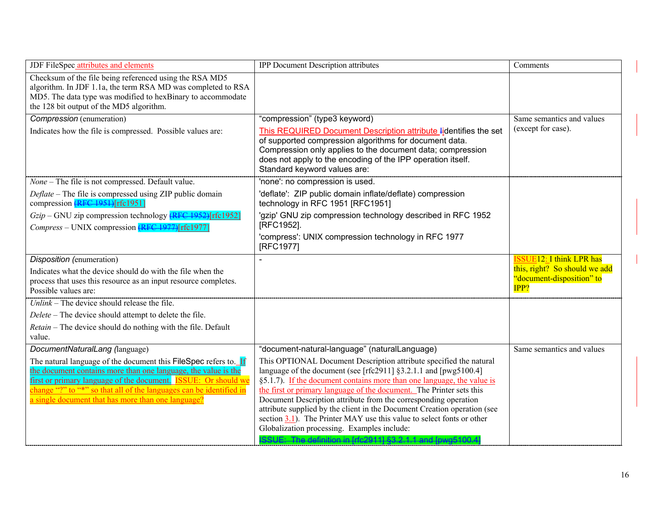| JDF FileSpec attributes and elements                                                                                                                                                                                                                                                                                                     | <b>IPP Document Description attributes</b>                                                                                                                                                                                                                                                                                                                                                                                                                                                                                                                                                                                    | Comments                                                           |
|------------------------------------------------------------------------------------------------------------------------------------------------------------------------------------------------------------------------------------------------------------------------------------------------------------------------------------------|-------------------------------------------------------------------------------------------------------------------------------------------------------------------------------------------------------------------------------------------------------------------------------------------------------------------------------------------------------------------------------------------------------------------------------------------------------------------------------------------------------------------------------------------------------------------------------------------------------------------------------|--------------------------------------------------------------------|
| Checksum of the file being referenced using the RSA MD5<br>algorithm. In JDF 1.1a, the term RSA MD was completed to RSA<br>MD5. The data type was modified to hexBinary to accommodate<br>the 128 bit output of the MD5 algorithm.                                                                                                       |                                                                                                                                                                                                                                                                                                                                                                                                                                                                                                                                                                                                                               |                                                                    |
| Compression (enumeration)                                                                                                                                                                                                                                                                                                                | "compression" (type3 keyword)                                                                                                                                                                                                                                                                                                                                                                                                                                                                                                                                                                                                 | Same semantics and values<br>(except for case).                    |
| Indicates how the file is compressed. Possible values are:                                                                                                                                                                                                                                                                               | This REQUIRED Document Description attribute lidentifies the set<br>of supported compression algorithms for document data.<br>Compression only applies to the document data; compression<br>does not apply to the encoding of the IPP operation itself.<br>Standard keyword values are:                                                                                                                                                                                                                                                                                                                                       |                                                                    |
| None - The file is not compressed. Default value.                                                                                                                                                                                                                                                                                        | 'none': no compression is used.                                                                                                                                                                                                                                                                                                                                                                                                                                                                                                                                                                                               |                                                                    |
| Deflate – The file is compressed using ZIP public domain<br>compression (RFC 1951)[rfc1951]                                                                                                                                                                                                                                              | 'deflate': ZIP public domain inflate/deflate) compression<br>technology in RFC 1951 [RFC1951]                                                                                                                                                                                                                                                                                                                                                                                                                                                                                                                                 |                                                                    |
| $Gzip$ – GNU zip compression technology $\sqrt{\text{RFC }1952}$ [rfc1952]                                                                                                                                                                                                                                                               | 'gzip' GNU zip compression technology described in RFC 1952                                                                                                                                                                                                                                                                                                                                                                                                                                                                                                                                                                   |                                                                    |
| Compress – UNIX compression (RFC 1977)[rfc1977]                                                                                                                                                                                                                                                                                          | [RFC1952].                                                                                                                                                                                                                                                                                                                                                                                                                                                                                                                                                                                                                    |                                                                    |
|                                                                                                                                                                                                                                                                                                                                          | 'compress': UNIX compression technology in RFC 1977<br>[RFC1977]                                                                                                                                                                                                                                                                                                                                                                                                                                                                                                                                                              |                                                                    |
| Disposition (enumeration)                                                                                                                                                                                                                                                                                                                |                                                                                                                                                                                                                                                                                                                                                                                                                                                                                                                                                                                                                               | <b>ISSUE12: I think LPR has</b>                                    |
| Indicates what the device should do with the file when the<br>process that uses this resource as an input resource completes.<br>Possible values are:                                                                                                                                                                                    |                                                                                                                                                                                                                                                                                                                                                                                                                                                                                                                                                                                                                               | this, right? So should we add<br>"document-disposition" to<br>IPP? |
| Unlink – The device should release the file.                                                                                                                                                                                                                                                                                             |                                                                                                                                                                                                                                                                                                                                                                                                                                                                                                                                                                                                                               |                                                                    |
| Delete – The device should attempt to delete the file.                                                                                                                                                                                                                                                                                   |                                                                                                                                                                                                                                                                                                                                                                                                                                                                                                                                                                                                                               |                                                                    |
| Retain - The device should do nothing with the file. Default<br>value.                                                                                                                                                                                                                                                                   |                                                                                                                                                                                                                                                                                                                                                                                                                                                                                                                                                                                                                               |                                                                    |
| DocumentNaturalLang (language)                                                                                                                                                                                                                                                                                                           | "document-natural-language" (naturalLanguage)                                                                                                                                                                                                                                                                                                                                                                                                                                                                                                                                                                                 | Same semantics and values                                          |
| The natural language of the document this FileSpec refers to. If<br>the document contains more than one language, the value is the<br>first or primary language of the document. <b>ISSUE:</b> Or should we<br>change "?" to "*" so that all of the languages can be identified in<br>a single document that has more than one language? | This OPTIONAL Document Description attribute specified the natural<br>language of the document (see [rfc2911] §3.2.1.1 and [pwg5100.4]<br>§5.1.7). If the document contains more than one language, the value is<br>the first or primary language of the document. The Printer sets this<br>Document Description attribute from the corresponding operation<br>attribute supplied by the client in the Document Creation operation (see<br>section 3.1). The Printer MAY use this value to select fonts or other<br>Globalization processing. Examples include:<br>ISSUE: The definition in [rfc2911] §3.2.1.1 and [pwg5100.4 |                                                                    |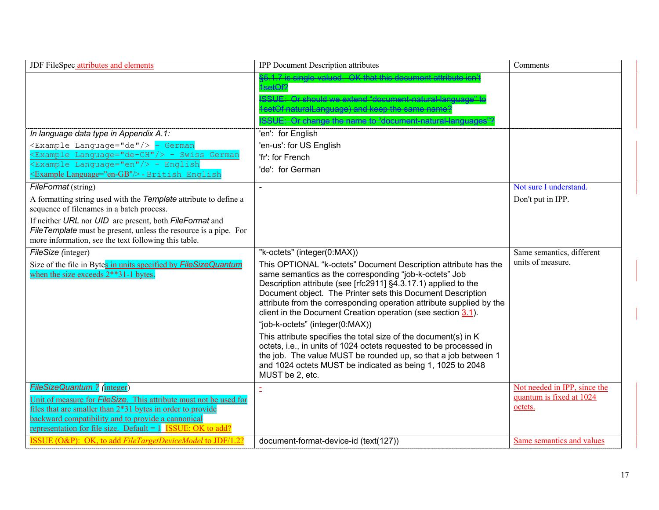| JDF FileSpec attributes and elements                                                                                                                                                                                                                                                          | <b>IPP Document Description attributes</b>                                                                                                                                                                                                                                                                                                                                                                                                                                                                                                                                                                                                                                                                                                                       | Comments                                                            |
|-----------------------------------------------------------------------------------------------------------------------------------------------------------------------------------------------------------------------------------------------------------------------------------------------|------------------------------------------------------------------------------------------------------------------------------------------------------------------------------------------------------------------------------------------------------------------------------------------------------------------------------------------------------------------------------------------------------------------------------------------------------------------------------------------------------------------------------------------------------------------------------------------------------------------------------------------------------------------------------------------------------------------------------------------------------------------|---------------------------------------------------------------------|
|                                                                                                                                                                                                                                                                                               | $$5.17$ is single-valued. OK that this document attribute isn't<br>setOf?<br>SSUE: Or should we extend "document-natural-language<br>setOf naturalLanguage) and keep the same name?<br>SSUE: Or change the name to "document natural lange                                                                                                                                                                                                                                                                                                                                                                                                                                                                                                                       |                                                                     |
| In language data type in Appendix A.1:                                                                                                                                                                                                                                                        | 'en': for English                                                                                                                                                                                                                                                                                                                                                                                                                                                                                                                                                                                                                                                                                                                                                |                                                                     |
| <example language="de"></example> - German<br><example language="de-CH"></example> - Swiss German<br><example language="en"></example> - English<br>Example Language="en-GB"/> - British English                                                                                              | 'en-us': for US English<br>'fr': for French<br>'de': for German                                                                                                                                                                                                                                                                                                                                                                                                                                                                                                                                                                                                                                                                                                  |                                                                     |
| FileFormat (string)                                                                                                                                                                                                                                                                           |                                                                                                                                                                                                                                                                                                                                                                                                                                                                                                                                                                                                                                                                                                                                                                  | Not sure I understand                                               |
| A formatting string used with the Template attribute to define a<br>sequence of filenames in a batch process.                                                                                                                                                                                 |                                                                                                                                                                                                                                                                                                                                                                                                                                                                                                                                                                                                                                                                                                                                                                  | Don't put in IPP.                                                   |
| If neither URL nor UID are present, both FileFormat and<br>File Template must be present, unless the resource is a pipe. For<br>more information, see the text following this table.                                                                                                          |                                                                                                                                                                                                                                                                                                                                                                                                                                                                                                                                                                                                                                                                                                                                                                  |                                                                     |
| FileSize (integer)<br>Size of the file in Bytes in units specified by FileSizeQuantum<br>when the size exceeds 2**31-1 bytes.                                                                                                                                                                 | "k-octets" (integer(0:MAX))<br>This OPTIONAL "k-octets" Document Description attribute has the<br>same semantics as the corresponding "job-k-octets" Job<br>Description attribute (see [rfc2911] §4.3.17.1) applied to the<br>Document object. The Printer sets this Document Description<br>attribute from the corresponding operation attribute supplied by the<br>client in the Document Creation operation (see section 3.1).<br>"job-k-octets" (integer(0:MAX))<br>This attribute specifies the total size of the document(s) in K<br>octets, i.e., in units of 1024 octets requested to be processed in<br>the job. The value MUST be rounded up, so that a job between 1<br>and 1024 octets MUST be indicated as being 1, 1025 to 2048<br>MUST be 2, etc. | Same semantics, different<br>units of measure.                      |
| FileSizeQuantum ? (integer)<br>Unit of measure for <b>FileSize</b> . This attribute must not be used for<br>files that are smaller than 2*31 bytes in order to provide<br>backward compatibility and to provide a cannonical<br>representation for file size. Default = $1$ ISSUE: OK to add? |                                                                                                                                                                                                                                                                                                                                                                                                                                                                                                                                                                                                                                                                                                                                                                  | Not needed in IPP, since the<br>quantum is fixed at 1024<br>octets. |
| ISSUE (O&P): OK, to add FileTargetDeviceModel to JDF/1.2?                                                                                                                                                                                                                                     | document-format-device-id (text(127))                                                                                                                                                                                                                                                                                                                                                                                                                                                                                                                                                                                                                                                                                                                            | Same semantics and values                                           |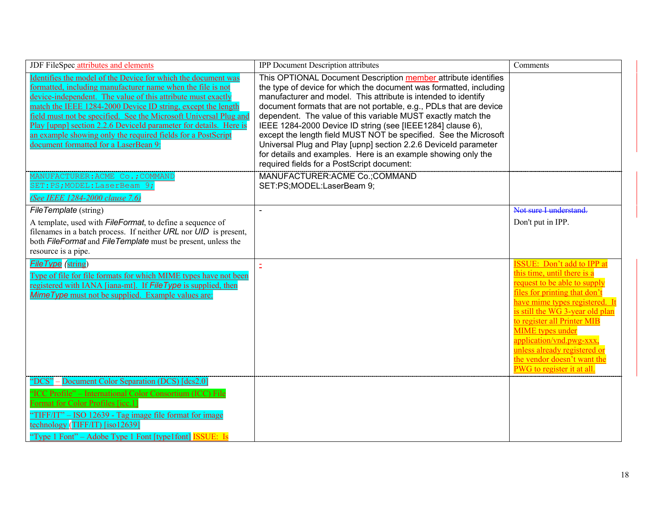| JDF FileSpec attributes and elements                                                                                                                                                                                                                                                                                                                                                                                                                                                                            | <b>IPP</b> Document Description attributes                                                                                                                                                                                                                                                                                                                                                                                                                                                                                                                                                                                                                       | Comments                                                                                                                                                                                                                                                                                                                                                                                  |
|-----------------------------------------------------------------------------------------------------------------------------------------------------------------------------------------------------------------------------------------------------------------------------------------------------------------------------------------------------------------------------------------------------------------------------------------------------------------------------------------------------------------|------------------------------------------------------------------------------------------------------------------------------------------------------------------------------------------------------------------------------------------------------------------------------------------------------------------------------------------------------------------------------------------------------------------------------------------------------------------------------------------------------------------------------------------------------------------------------------------------------------------------------------------------------------------|-------------------------------------------------------------------------------------------------------------------------------------------------------------------------------------------------------------------------------------------------------------------------------------------------------------------------------------------------------------------------------------------|
| Identifies the model of the Device for which the document was<br>formatted, including manufacturer name when the file is not<br>device-independent. The value of this attribute must exactly<br>match the IEEE 1284-2000 Device ID string, except the length<br>field must not be specified. See the Microsoft Universal Plug and<br>Play [upnp] section 2.2.6 DeviceId parameter for details. Here is<br>an example showing only the required fields for a PostScript<br>document formatted for a LaserBean 9: | This OPTIONAL Document Description member attribute identifies<br>the type of device for which the document was formatted, including<br>manufacturer and model. This attribute is intended to identify<br>document formats that are not portable, e.g., PDLs that are device<br>dependent. The value of this variable MUST exactly match the<br>IEEE 1284-2000 Device ID string (see [IEEE1284] clause 6),<br>except the length field MUST NOT be specified. See the Microsoft<br>Universal Plug and Play [upnp] section 2.2.6 Deviceld parameter<br>for details and examples. Here is an example showing only the<br>required fields for a PostScript document: |                                                                                                                                                                                                                                                                                                                                                                                           |
| MANUFACTURER: ACME Co.; COMMAND<br>SET:PS;MODEL:LaserBeam 9;<br>(See IEEE 1284-2000 clause 7.6)                                                                                                                                                                                                                                                                                                                                                                                                                 | MANUFACTURER: ACME Co.; COMMAND<br>SET:PS;MODEL:LaserBeam 9;                                                                                                                                                                                                                                                                                                                                                                                                                                                                                                                                                                                                     |                                                                                                                                                                                                                                                                                                                                                                                           |
| FileTemplate (string)                                                                                                                                                                                                                                                                                                                                                                                                                                                                                           | $\overline{a}$                                                                                                                                                                                                                                                                                                                                                                                                                                                                                                                                                                                                                                                   | Not sure I understand                                                                                                                                                                                                                                                                                                                                                                     |
| A template, used with <i>FileFormat</i> , to define a sequence of<br>filenames in a batch process. If neither URL nor UID is present,<br>both FileFormat and FileTemplate must be present, unless the<br>resource is a pipe.                                                                                                                                                                                                                                                                                    |                                                                                                                                                                                                                                                                                                                                                                                                                                                                                                                                                                                                                                                                  | Don't put in IPP.                                                                                                                                                                                                                                                                                                                                                                         |
| <b>File Type</b> (string)<br>Type of file for file formats for which MIME types have not been<br>registered with IANA [iana-mt]. If File Type is supplied, then<br><b>Mime Type</b> must not be supplied. Example values are:                                                                                                                                                                                                                                                                                   | $\bar{\Xi}$                                                                                                                                                                                                                                                                                                                                                                                                                                                                                                                                                                                                                                                      | <b>ISSUE:</b> Don't add to IPP at<br>this time, until there is a<br>request to be able to supply<br>files for printing that don't<br>have mime types registered. It<br>is still the WG 3-year old plan<br>to register all Printer MIB<br><b>MIME</b> types under<br>application/vnd.pwg-xxx.<br>unless already registered or<br>the vendor doesn't want the<br>PWG to register it at all. |
| "DCS" – Document Color Separation (DCS) [dcs2.0]<br>"ICC Profile" - International Color Consortium (ICC) File<br><b>Format for Color Profiles [icc.1]</b><br>"TIFF/IT" - ISO 12639 - Tag image file format for image<br>technology (TIFF/IT) [iso12639]<br>"Type 1 Font" – Adobe Type 1 Font [type1font] <b>ISSUE</b> : Is                                                                                                                                                                                      |                                                                                                                                                                                                                                                                                                                                                                                                                                                                                                                                                                                                                                                                  |                                                                                                                                                                                                                                                                                                                                                                                           |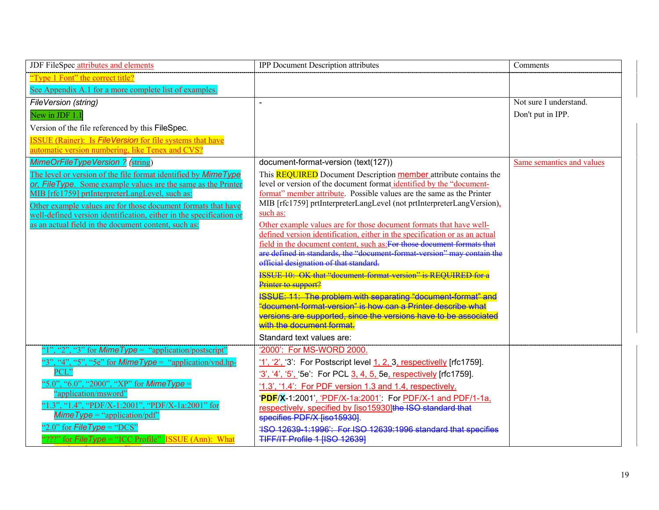| JDF FileSpec attributes and elements                                                                                                 | <b>IPP Document Description attributes</b>                                                                                                      | Comments                  |
|--------------------------------------------------------------------------------------------------------------------------------------|-------------------------------------------------------------------------------------------------------------------------------------------------|---------------------------|
| "Type 1 Font" the correct title?                                                                                                     |                                                                                                                                                 |                           |
| See Appendix A.1 for a more complete list of examples.                                                                               |                                                                                                                                                 |                           |
| <b>FileVersion (string)</b>                                                                                                          | $\sim$                                                                                                                                          | Not sure I understand.    |
| New in JDF 1.1                                                                                                                       |                                                                                                                                                 | Don't put in IPP.         |
| Version of the file referenced by this FileSpec.                                                                                     |                                                                                                                                                 |                           |
| <b>ISSUE</b> (Rainer): Is <i>FileVersion</i> for file systems that have                                                              |                                                                                                                                                 |                           |
| automatic version numbering, like Tenex and CVS?                                                                                     |                                                                                                                                                 |                           |
| <b>MimeOrFileTypeVersion ? (string)</b>                                                                                              | document-format-version (text(127))                                                                                                             | Same semantics and values |
| The level or version of the file format identified by Mime Type                                                                      | This <b>REQUIRED</b> Document Description <b>member</b> attribute contains the                                                                  |                           |
| or, File Type. Some example values are the same as the Printer                                                                       | level or version of the document format identified by the "document-                                                                            |                           |
| MIB [rfc1759] prtInterpreterLangLevel, such as:                                                                                      | format" member attribute. Possible values are the same as the Printer<br>MIB [rfc1759] prtInterpreterLangLevel (not prtInterpreterLangVersion), |                           |
| Other example values are for those document formats that have<br>well-defined version identification, either in the specification or | such as:                                                                                                                                        |                           |
| as an actual field in the document content, such as:                                                                                 | Other example values are for those document formats that have well-                                                                             |                           |
|                                                                                                                                      | defined version identification, either in the specification or as an actual                                                                     |                           |
|                                                                                                                                      | field in the document content, such as For those document formats that                                                                          |                           |
|                                                                                                                                      | are defined in standards, the "document format version" may contain the<br>official designation of that standard.                               |                           |
|                                                                                                                                      | <b>ISSUE 10: OK that "document format version" is REOUIRED for a</b>                                                                            |                           |
|                                                                                                                                      | Printer to support?                                                                                                                             |                           |
|                                                                                                                                      | ISSUE: 11: The problem with separating "document format" and                                                                                    |                           |
|                                                                                                                                      | "document-format-version" is how can a Printer describe what                                                                                    |                           |
|                                                                                                                                      | versions are supported, since the versions have to be associated<br>with the document format.                                                   |                           |
|                                                                                                                                      | Standard text values are:                                                                                                                       |                           |
| ", "2", "3" for <i>MimeType</i> = "application/postscript"                                                                           | '2000': For MS-WORD 2000.                                                                                                                       |                           |
| $3$ ", " $4$ ", " $5$ ", " $5e$ " for <i>MimeType</i> = "application/vnd.hp-                                                         |                                                                                                                                                 |                           |
| PCL"                                                                                                                                 | $\frac{11}{2}$ , $\frac{21}{2}$ , $\frac{31}{2}$ . For Postscript level 1, 2, 3, respectivelly [rfc1759].                                       |                           |
| '5.0", "6.0", "2000", "XP" for <i>Mime Type</i> =                                                                                    | '3', '4', '5', '5e': For PCL 3, 4, 5, 5e, respectively [rfc1759].                                                                               |                           |
| "application/msword"                                                                                                                 | '1.3', '1.4': For PDF version 1.3 and 1.4, respectively.                                                                                        |                           |
| "1.3", "1.4", "PDF/X-1:2001", "PDF/X-1a:2001" for                                                                                    | PDF/X-1:2001', 'PDF/X-1a:2001': For PDF/X-1 and PDF/1-1a,<br>respectively, specified by [iso15930] the ISO standard that                        |                           |
| $MimeType = "application/pdf"$                                                                                                       | specifies PDF/X [iso15930]                                                                                                                      |                           |
| "2.0" for $FileType = "DCS"$                                                                                                         | 4SO 12639-1:1996': For ISO 12639:1996 standard that specifies                                                                                   |                           |
| "???" for $\overline{FileType}$ = "ICC Profile" ISSUE (Ann): What                                                                    | TIFF/IT Profile 1 [ISO 12639]                                                                                                                   |                           |

<u>i f film a film a film a film a film a film a film a film a film a film a film a film a film a film a film a fi</u>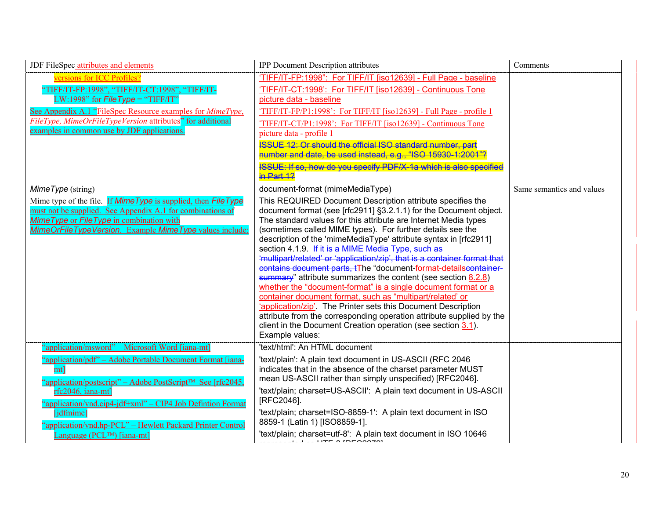| JDF FileSpec attributes and elements                                                                                                                                                                                                                                                                                                                                                       | <b>IPP Document Description attributes</b>                                                                                                                                                                                                                                                                                                                                                                                                                                                                                                                                                                                                                                                                                                                                                                                                                                                                                                                                   | Comments                  |
|--------------------------------------------------------------------------------------------------------------------------------------------------------------------------------------------------------------------------------------------------------------------------------------------------------------------------------------------------------------------------------------------|------------------------------------------------------------------------------------------------------------------------------------------------------------------------------------------------------------------------------------------------------------------------------------------------------------------------------------------------------------------------------------------------------------------------------------------------------------------------------------------------------------------------------------------------------------------------------------------------------------------------------------------------------------------------------------------------------------------------------------------------------------------------------------------------------------------------------------------------------------------------------------------------------------------------------------------------------------------------------|---------------------------|
| versions for ICC Profiles?<br>[IFF/IT-FP:1998", "TIFF/IT-CT:1998", "TIFF/IT-<br>LW:1998" for $FileType = "TIFF/IT"$<br>See Appendix A.1 "FileSpec Resource examples for <i>MimeType</i> ,<br>FileType, MimeOrFileTypeVersion attributes" for additional<br>examples in common use by JDF applications.                                                                                     | 'TIFF/IT-FP:1998": For TIFF/IT [iso12639] - Full Page - baseline<br>'TIFF/IT-CT:1998': For TIFF/IT [iso12639] - Continuous Tone<br>picture data - baseline<br>'TIFF/IT-FP/P1:1998': For TIFF/IT [iso12639] - Full Page - profile 1<br>'TIFF/IT-CT/P1:1998': For TIFF/IT [iso12639] - Continuous Tone<br>picture data - profile 1<br><b>ISSUE 12: Or should the official ISO standard number, part</b><br>number and date, be used instead, e.g., "ISO 15930-1:2001"?<br><b>ISSUE: If so, how do you specify PDF/X 1a which is also specified</b><br>$in$ Part 12                                                                                                                                                                                                                                                                                                                                                                                                             |                           |
| MimeType (string)                                                                                                                                                                                                                                                                                                                                                                          | document-format (mimeMediaType)                                                                                                                                                                                                                                                                                                                                                                                                                                                                                                                                                                                                                                                                                                                                                                                                                                                                                                                                              | Same semantics and values |
| Mime type of the file. If Mime Type is supplied, then File Type<br>must not be supplied. See Appendix A.1 for combinations of<br>Mime Type or File Type in combination with<br>MimeOrFileTypeVersion. Example MimeType values include:                                                                                                                                                     | This REQUIRED Document Description attribute specifies the<br>document format (see [rfc2911] §3.2.1.1) for the Document object.<br>The standard values for this attribute are Internet Media types<br>(sometimes called MIME types). For further details see the<br>description of the 'mimeMediaType' attribute syntax in [rfc2911]<br>section 4.1.9. If it is a MIME Media Type, such as<br>"multipart/related' or "application/zip", that is a container format that<br>contains document parts, tThe "document-format-detailscontainer-<br>$\frac{1}{2}$ attribute summarizes the content (see section 8.2.8)<br>whether the "document-format" is a single document format or a<br>container document format, such as "multipart/related' or<br>'application/zip'. The Printer sets this Document Description<br>attribute from the corresponding operation attribute supplied by the<br>client in the Document Creation operation (see section 3.1).<br>Example values: |                           |
| "application/msword" – Microsoft Word [iana-mt]<br>"application/pdf" – Adobe Portable Document Format [iana-<br>mt]<br>"application/postscript" – Adobe PostScript™ See [rfc2045,<br>rfc2046, iana-mt]<br>"application/vnd.cip4-jdf+xml" – CIP4 Job Defintion Format<br>[jdfmime]<br>"application/vnd.hp-PCL" - Hewlett Packard Printer Control<br>Language (PCL <sup>TM</sup> ) [iana-mt] | 'text/html': An HTML document<br>'text/plain': A plain text document in US-ASCII (RFC 2046<br>indicates that in the absence of the charset parameter MUST<br>mean US-ASCII rather than simply unspecified) [RFC2046].<br>'text/plain; charset=US-ASCII': A plain text document in US-ASCII<br>[RFC2046].<br>'text/plain; charset=ISO-8859-1': A plain text document in ISO<br>8859-1 (Latin 1) [ISO8859-1].<br>'text/plain; charset=utf-8': A plain text document in ISO 10646<br>$IITE$ o $IDECOO201$                                                                                                                                                                                                                                                                                                                                                                                                                                                                       |                           |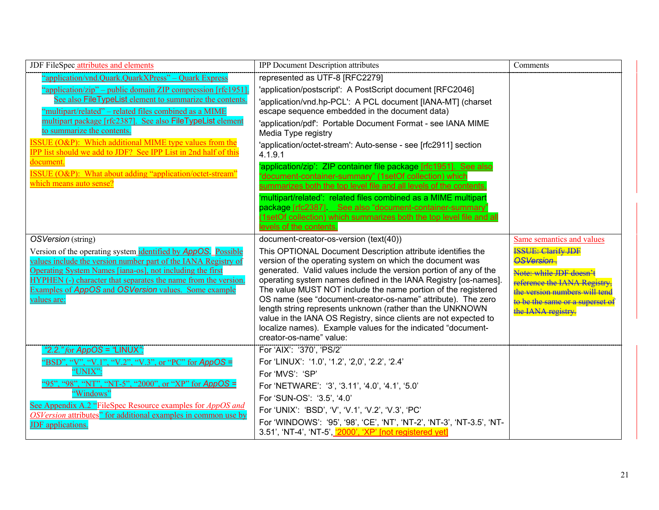| JDF FileSpec attributes and elements                                                                                                                                                                                                                                                                                                                                                                                                                                                                                                                                                      | <b>IPP Document Description attributes</b>                                                                                                                                                                                                                                                                                                                                                                                                                                                                                                                                                                                                                                                                                                                                                                             | Comments                                                                                                                                                                                                                         |
|-------------------------------------------------------------------------------------------------------------------------------------------------------------------------------------------------------------------------------------------------------------------------------------------------------------------------------------------------------------------------------------------------------------------------------------------------------------------------------------------------------------------------------------------------------------------------------------------|------------------------------------------------------------------------------------------------------------------------------------------------------------------------------------------------------------------------------------------------------------------------------------------------------------------------------------------------------------------------------------------------------------------------------------------------------------------------------------------------------------------------------------------------------------------------------------------------------------------------------------------------------------------------------------------------------------------------------------------------------------------------------------------------------------------------|----------------------------------------------------------------------------------------------------------------------------------------------------------------------------------------------------------------------------------|
| "application/vnd.Quark.QuarkXPress" - Quark Express<br>"application/zip" – public domain ZIP compression [rfc1951]<br>See also FileTypeList element to summarize the contents.<br>"multipart/related" – related files combined as a MIME<br>multipart package [rfc2387]. See also FileTypeList element<br>to summarize the contents.<br>$ISSUE (O\&P)$ : Which additional MIME type values from the<br><b>IPP</b> list should we add to JDF? See IPP List in 2nd half of this<br>document.<br><b>ISSUE</b> (O&P): What about adding "application/octet-stream"<br>which means auto sense? | represented as UTF-8 [RFC2279]<br>'application/postscript': A PostScript document [RFC2046]<br>'application/vnd.hp-PCL': A PCL document [IANA-MT] (charset<br>escape sequence embedded in the document data)<br>'application/pdf': Portable Document Format - see IANA MIME<br>Media Type registry<br>'application/octet-stream': Auto-sense - see [rfc2911] section<br>4.1.9.1<br>'application/zip': ZIP container file package [rfc1951]. See also<br>'document-container-summary" (1setOf collection) which<br>summarizes both the top level file and all levels of the contents.<br>'multipart/related': related files combined as a MIME multipart<br>package [rfc2387]. See also "document-container-summary"<br>(1setOf collection) which summarizes both the top level file and all<br>levels of the contents. |                                                                                                                                                                                                                                  |
| OSVersion (string)<br>Version of the operating system identified by AppOS. Possible<br>values include the version number part of the IANA Registry of<br>Operating System Names [iana-os], not including the first<br>HYPHEN (-) character that separates the name from the version.<br>Examples of AppOS and OSVersion values. Some example<br>values are:                                                                                                                                                                                                                               | document-creator-os-version (text(40))<br>This OPTIONAL Document Description attribute identifies the<br>version of the operating system on which the document was<br>generated. Valid values include the version portion of any of the<br>operating system names defined in the IANA Registry [os-names].<br>The value MUST NOT include the name portion of the registered<br>OS name (see "document-creator-os-name" attribute). The zero<br>length string represents unknown (rather than the UNKNOWN<br>value in the IANA OS Registry, since clients are not expected to<br>localize names). Example values for the indicated "document-<br>creator-os-name" value:                                                                                                                                                | Same semantics and values<br><b>ISSUE: Clarify IDE</b><br>OSVersion.<br>Note: while JDF doesn't<br>reference the <b>JANA Registry</b><br><del>rsion numbers w</del><br>to be the same or a superset<br>the <b>JANA</b> registry. |
| "2.2." for $AppOS = "LINUX"$ :<br>"BSD", "V", "V.1", "V.2", "V.3", or "PC" for AppOS =<br>"UNIX":<br>"95", "98", "NT", "NT-5", "2000", or "XP" for AppOS =<br>"Windows"<br>See Appendix A.2 "FileSpec Resource examples for <i>AppOS and</i><br>OSVersion attributes" for additional examples in common use by<br><b>JDF</b> applications.                                                                                                                                                                                                                                                | For 'AIX': '370', 'PS/2'<br>For 'LINUX': '1.0', '1.2', '2,0', '2.2', '2.4'<br>For 'MVS': 'SP'<br>For 'NETWARE': '3', '3.11', '4.0', '4.1', '5.0'<br>For 'SUN-OS': '3.5', '4.0'<br>For 'UNIX': 'BSD', 'V', 'V.1', 'V.2', 'V.3', 'PC'<br>For 'WINDOWS': '95', '98', 'CE', 'NT', 'NT-2', 'NT-3', 'NT-3.5', 'NT-<br>3.51', 'NT-4', 'NT-5', '2000', 'XP' [not registered yet]                                                                                                                                                                                                                                                                                                                                                                                                                                               |                                                                                                                                                                                                                                  |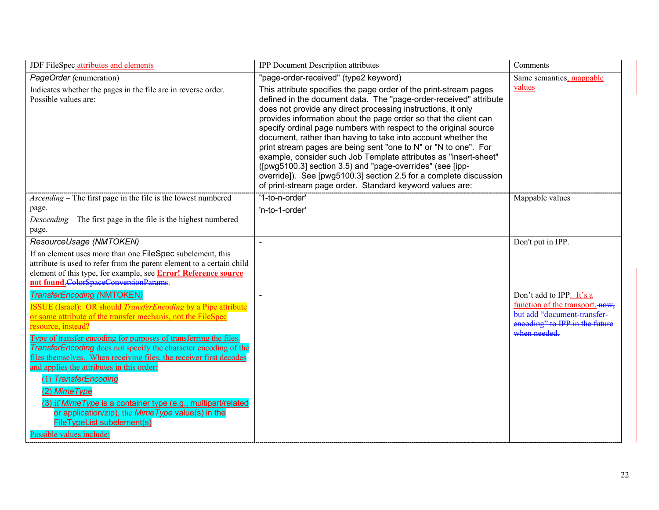| JDF FileSpec attributes and elements                                                                                                                                                                                                                                                                                                                                                                                                                                                                                                                                                                                                                                                                      | <b>IPP Document Description attributes</b>                                                                                                                                                                                                                                                                                                                                                                                                                                                                                                                                                                                                                                                                                                                                                    | Comments                                                                                                                                             |
|-----------------------------------------------------------------------------------------------------------------------------------------------------------------------------------------------------------------------------------------------------------------------------------------------------------------------------------------------------------------------------------------------------------------------------------------------------------------------------------------------------------------------------------------------------------------------------------------------------------------------------------------------------------------------------------------------------------|-----------------------------------------------------------------------------------------------------------------------------------------------------------------------------------------------------------------------------------------------------------------------------------------------------------------------------------------------------------------------------------------------------------------------------------------------------------------------------------------------------------------------------------------------------------------------------------------------------------------------------------------------------------------------------------------------------------------------------------------------------------------------------------------------|------------------------------------------------------------------------------------------------------------------------------------------------------|
| PageOrder (enumeration)<br>Indicates whether the pages in the file are in reverse order.<br>Possible values are:                                                                                                                                                                                                                                                                                                                                                                                                                                                                                                                                                                                          | "page-order-received" (type2 keyword)<br>This attribute specifies the page order of the print-stream pages<br>defined in the document data. The "page-order-received" attribute<br>does not provide any direct processing instructions, it only<br>provides information about the page order so that the client can<br>specify ordinal page numbers with respect to the original source<br>document, rather than having to take into account whether the<br>print stream pages are being sent "one to N" or "N to one". For<br>example, consider such Job Template attributes as "insert-sheet"<br>([pwg5100.3] section 3.5) and "page-overrides" (see [ipp-<br>override]). See [pwg5100.3] section 2.5 for a complete discussion<br>of print-stream page order. Standard keyword values are: | Same semantics, mappable<br>values                                                                                                                   |
| Ascending – The first page in the file is the lowest numbered<br>page.<br><i>Descending</i> – The first page in the file is the highest numbered<br>page.                                                                                                                                                                                                                                                                                                                                                                                                                                                                                                                                                 | '1-to-n-order'<br>'n-to-1-order'                                                                                                                                                                                                                                                                                                                                                                                                                                                                                                                                                                                                                                                                                                                                                              | Mappable values                                                                                                                                      |
| ResourceUsage (NMTOKEN)<br>If an element uses more than one FileSpec subelement, this<br>attribute is used to refer from the parent element to a certain child<br>element of this type, for example, see Error! Reference source<br>not found.ColorSpaceConversionParams.                                                                                                                                                                                                                                                                                                                                                                                                                                 |                                                                                                                                                                                                                                                                                                                                                                                                                                                                                                                                                                                                                                                                                                                                                                                               | Don't put in IPP.                                                                                                                                    |
| <b>TransferEncoding (NMTOKEN)</b><br><b>ISSUE</b> (Israel): OR should <i>TransferEncoding</i> by a Pipe attribute<br>or some attribute of the transfer mechanis, not the FileSpec<br>resource, instead?<br>Type of transfer encoding for purposes of transferring the files.<br><b>TransferEncoding</b> does not specify the character encoding of the<br>files themselves. When receiving files, the receiver first decodes<br>and applies the attributes in this order:<br>(1) TransferEncoding<br>(2) MimeType<br>(3) if Mime Type is a container type (e.g., multipart/related<br>or application/zip), the Mime Type value(s) in the<br><b>FileTypeList subelement(s)</b><br>Possible values include: |                                                                                                                                                                                                                                                                                                                                                                                                                                                                                                                                                                                                                                                                                                                                                                                               | Don't add to IPP. It's a<br>function of the transport. <b>HOW</b> ,<br>but add "document transfer-<br>encoding" to IPP in the future<br>when needed. |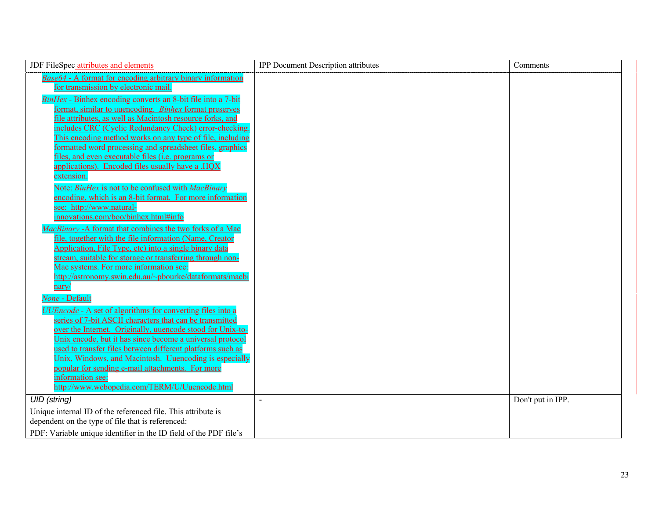| JDF FileSpec attributes and elements                                                                                    | <b>IPP Document Description attributes</b> | Comments          |
|-------------------------------------------------------------------------------------------------------------------------|--------------------------------------------|-------------------|
| <b>Base64 - A format for encoding arbitrary binary information</b>                                                      |                                            |                   |
| for transmission by electronic mail.                                                                                    |                                            |                   |
| BinHex - Binhex encoding converts an 8-bit file into a 7-bit                                                            |                                            |                   |
| format, similar to uuencoding. Binhex format preserves                                                                  |                                            |                   |
| file attributes, as well as Macintosh resource forks, and                                                               |                                            |                   |
| includes CRC (Cyclic Redundancy Check) error-checking.                                                                  |                                            |                   |
| This encoding method works on any type of file, including                                                               |                                            |                   |
| formatted word processing and spreadsheet files, graphics<br>files, and even executable files ( <i>i.e.</i> programs or |                                            |                   |
| applications). Encoded files usually have a HOX                                                                         |                                            |                   |
| extension.                                                                                                              |                                            |                   |
| Note: BinHex is not to be confused with MacBinary                                                                       |                                            |                   |
| encoding, which is an 8-bit format. For more information                                                                |                                            |                   |
| see: http://www.natural-                                                                                                |                                            |                   |
| innovations.com/boo/binhex.html#info                                                                                    |                                            |                   |
| MacBinary - A format that combines the two forks of a Mac                                                               |                                            |                   |
| file, together with the file information (Name, Creator                                                                 |                                            |                   |
| Application, File Type, etc) into a single binary data                                                                  |                                            |                   |
| stream, suitable for storage or transferring through non-                                                               |                                            |                   |
| Mac systems. For more information see:                                                                                  |                                            |                   |
| http://astronomy.swin.edu.au/~pbourke/dataformats/macbi                                                                 |                                            |                   |
| <u>nary/</u>                                                                                                            |                                            |                   |
| None - Default                                                                                                          |                                            |                   |
| <i>UUEncode</i> - A set of algorithms for converting files into a                                                       |                                            |                   |
| series of 7-bit ASCII characters that can be transmitted                                                                |                                            |                   |
| over the Internet. Originally, uuencode stood for Unix-to-                                                              |                                            |                   |
| Unix encode, but it has since become a universal protocol<br>used to transfer files between different platforms such as |                                            |                   |
| Unix, Windows, and Macintosh. Uuencoding is especially                                                                  |                                            |                   |
| popular for sending e-mail attachments. For more                                                                        |                                            |                   |
| information see:                                                                                                        |                                            |                   |
| http://www.webopedia.com/TERM/U/Uuencode.html                                                                           |                                            |                   |
| <b>UID</b> (string)                                                                                                     |                                            | Don't put in IPP. |
| Unique internal ID of the referenced file. This attribute is                                                            |                                            |                   |
| dependent on the type of file that is referenced:                                                                       |                                            |                   |
| PDF: Variable unique identifier in the ID field of the PDF file's                                                       |                                            |                   |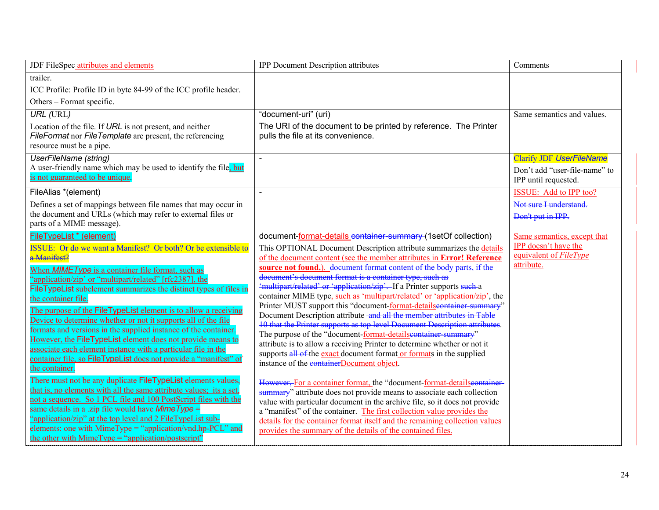| trailer.                                                                                                                                                                                                                                                                                                                                                                                                                                                                                                                                                                                                                                                                                                                                                                                                                                                                                                                                                                                                                                                                                        |                                                                                                                                                                                                                                                                                                                                                                                                                                                                                                                                                                                                                                                                                                                                                                                                                                                                                                                                                                                                                                                                                                                                                                                                                                                                                                                                                                                                                |                                                                                             |
|-------------------------------------------------------------------------------------------------------------------------------------------------------------------------------------------------------------------------------------------------------------------------------------------------------------------------------------------------------------------------------------------------------------------------------------------------------------------------------------------------------------------------------------------------------------------------------------------------------------------------------------------------------------------------------------------------------------------------------------------------------------------------------------------------------------------------------------------------------------------------------------------------------------------------------------------------------------------------------------------------------------------------------------------------------------------------------------------------|----------------------------------------------------------------------------------------------------------------------------------------------------------------------------------------------------------------------------------------------------------------------------------------------------------------------------------------------------------------------------------------------------------------------------------------------------------------------------------------------------------------------------------------------------------------------------------------------------------------------------------------------------------------------------------------------------------------------------------------------------------------------------------------------------------------------------------------------------------------------------------------------------------------------------------------------------------------------------------------------------------------------------------------------------------------------------------------------------------------------------------------------------------------------------------------------------------------------------------------------------------------------------------------------------------------------------------------------------------------------------------------------------------------|---------------------------------------------------------------------------------------------|
| ICC Profile: Profile ID in byte 84-99 of the ICC profile header.<br>Others – Format specific.                                                                                                                                                                                                                                                                                                                                                                                                                                                                                                                                                                                                                                                                                                                                                                                                                                                                                                                                                                                                   |                                                                                                                                                                                                                                                                                                                                                                                                                                                                                                                                                                                                                                                                                                                                                                                                                                                                                                                                                                                                                                                                                                                                                                                                                                                                                                                                                                                                                |                                                                                             |
| <b>URL (URL)</b><br>Location of the file. If URL is not present, and neither<br>FileFormat nor FileTemplate are present, the referencing<br>resource must be a pipe.                                                                                                                                                                                                                                                                                                                                                                                                                                                                                                                                                                                                                                                                                                                                                                                                                                                                                                                            | "document-uri" (uri)<br>The URI of the document to be printed by reference. The Printer<br>pulls the file at its convenience.                                                                                                                                                                                                                                                                                                                                                                                                                                                                                                                                                                                                                                                                                                                                                                                                                                                                                                                                                                                                                                                                                                                                                                                                                                                                                  | Same semantics and values.                                                                  |
| <b>UserFileName</b> (string)<br>$\overline{a}$<br>A user-friendly name which may be used to identify the file, but<br>is not guaranteed to be unique.                                                                                                                                                                                                                                                                                                                                                                                                                                                                                                                                                                                                                                                                                                                                                                                                                                                                                                                                           |                                                                                                                                                                                                                                                                                                                                                                                                                                                                                                                                                                                                                                                                                                                                                                                                                                                                                                                                                                                                                                                                                                                                                                                                                                                                                                                                                                                                                | <b>Clarify JDF UserFileName</b><br>Don't add "user-file-name" to<br>IPP until requested.    |
| FileAlias *(element)<br>Defines a set of mappings between file names that may occur in<br>the document and URLs (which may refer to external files or<br>parts of a MIME message).                                                                                                                                                                                                                                                                                                                                                                                                                                                                                                                                                                                                                                                                                                                                                                                                                                                                                                              |                                                                                                                                                                                                                                                                                                                                                                                                                                                                                                                                                                                                                                                                                                                                                                                                                                                                                                                                                                                                                                                                                                                                                                                                                                                                                                                                                                                                                | ISSUE: Add to IPP too?<br>Not sure I understand.<br>Don't put in IPP.                       |
| FileTypeList * (element)<br><b>ISSUE:</b> Or do we want a Manifest? Or both? Or be extensible to<br>a Manifest?<br>When <b>MIMEType</b> is a container file format, such as<br>"application/zip' or "multipart/related" [rfc2387], the<br>FileTypeList subelement summarizes the distinct types of files in<br>the container file.<br>The purpose of the FileTypeList element is to allow a receiving<br>Device to determine whether or not it supports all of the file<br>formats and versions in the supplied instance of the container.<br>However, the FileTypeList element does not provide means to<br>associate each element instance with a particular file in the<br>container file, so FileTypeList does not provide a "manifest" of<br>the container.<br>There must not be any duplicate FileTypeList elements values,<br>that is, no elements with all the same attribute values; its a set,<br>not a sequence. So 1 PCL file and 100 PostScript files with the<br>same details in a .zip file would have Mime Type =<br>"application/zip" at the top level and 2 FileTypeList sub- | document-format-details_container-summary-(1setOf collection)<br>This OPTIONAL Document Description attribute summarizes the details<br>of the document content (see the member attributes in Error! Reference<br>source not found.) document format content of the body parts, if the<br>document's document format is a container type, such as<br>'multipart/related' or 'application/zip'. If a Printer supports such a<br>container MIME type, such as 'multipart/related' or 'application/zip', the<br>Printer MUST support this "document-format-detailseontainer-summary"<br>Document Description attribute and all the member attributes in Table<br>10 that the Printer supports as top level Document Description attributes.<br>The purpose of the "document-format-detailseontainer-summary"<br>attribute is to allow a receiving Printer to determine whether or not it<br>supports all of the exact document format or formats in the supplied<br>instance of the <b>container</b> Document object.<br>However, For a container format, the "document-format-detailseontainer-<br>summary" attribute does not provide means to associate each collection<br>value with particular document in the archive file, so it does not provide<br>a "manifest" of the container. The first collection value provides the<br>details for the container format itself and the remaining collection values | Same semantics, except that<br>IPP doesn't have the<br>equivalent of FileType<br>attribute. |